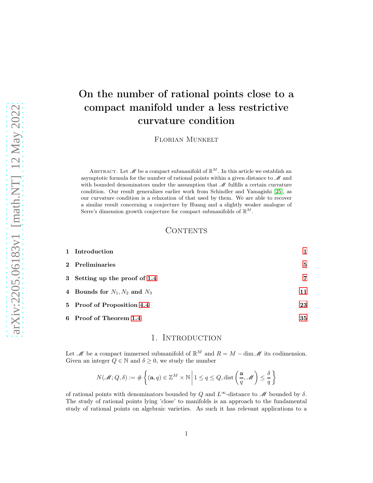# On the number of rational points close to a compact manifold under a less restrictive curvature condition

Florian Munkelt

ABSTRACT. Let  $\mathcal{M}$  be a compact submanifold of  $\mathbb{R}^M$ . In this article we establish an asymptotic formula for the number of rational points within a given distance to  $\mathcal M$  and with bounded denominators under the assumption that  $\mathcal M$  fulfills a certain curvature condition. Our result generalizes earlier work from Schindler and Yamagishi [\[25\]](#page-36-0), as our curvature condition is a relaxation of that used by them. We are able to recover a similar result concerning a conjecture by Huang and a slightly weaker analogue of Serre's dimension growth conjecture for compact submanifolds of  $\mathbb{R}^M$ .

#### CONTENTS

| 1 Introduction                    | 1  |
|-----------------------------------|----|
| 2 Preliminaries                   | 5  |
| 3 Setting up the proof of 1.4     | 7  |
| 4 Bounds for $N_1, N_2$ and $N_3$ | 11 |
| 5 Proof of Proposition 4.4        | 23 |
| 6 Proof of Theorem 1.4            | 35 |

#### 1. INTRODUCTION

<span id="page-0-0"></span>Let *M* be a compact immersed submanifold of  $\mathbb{R}^M$  and  $R = M - \dim \mathcal{M}$  its codimension. Given an integer  $Q \in \mathbb{N}$  and  $\delta \geq 0$ , we study the number

$$
N(\mathscr{M};Q,\delta) := \#\left\{ (\mathbf{a},q) \in \mathbb{Z}^M \times \mathbb{N} \, \bigg| \, 1 \le q \le Q, \text{dist}\left(\frac{\mathbf{a}}{q}, \mathscr{M}\right) \le \frac{\delta}{q} \right\}
$$

of rational points with denominators bounded by Q and  $L^{\infty}$ -distance to M bounded by  $\delta$ . The study of rational points lying 'close' to manifolds is an approach to the fundamental study of rational points on algebraic varieties. As such it has relevant applications to a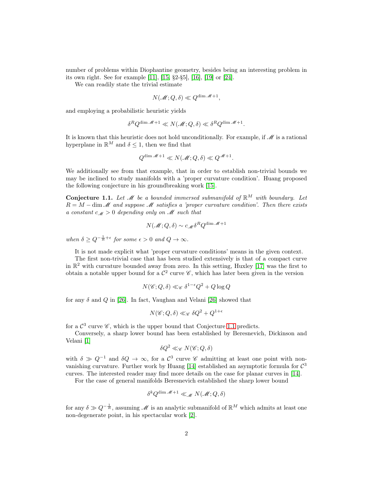number of problems within Diophantine geometry, besides being an interesting problem in its own right. See for example [\[11\]](#page-36-1), [\[15,](#page-36-2) §2-§5], [\[16\]](#page-36-3), [\[19\]](#page-36-4) or [\[24\]](#page-36-5).

We can readily state the trivial estimate

$$
N(\mathcal{M}; Q, \delta) \ll Q^{\dim \mathcal{M} + 1},
$$

and employing a probabilistic heuristic yields

$$
\delta^R Q^{\dim \mathcal{M} + 1} \ll N(\mathcal{M}; Q, \delta) \ll \delta^R Q^{\dim \mathcal{M} + 1}.
$$

It is known that this heuristic does not hold unconditionally. For example, if  $\mathcal M$  is a rational hyperplane in  $\mathbb{R}^M$  and  $\delta \leq 1$ , then we find that

$$
Q^{\dim \mathcal{M}+1} \ll N(\mathcal{M}; Q, \delta) \ll Q^{\mathcal{M}+1}.
$$

We additionally see from that example, that in order to establish non-trivial bounds we may be inclined to study manifolds with a 'proper curvature condition'. Huang proposed the following conjecture in his groundbreaking work [\[15\]](#page-36-2).

<span id="page-1-0"></span>**Conjecture 1.1.** Let  $\mathcal{M}$  be a bounded immersed submanifold of  $\mathbb{R}^M$  with boundary. Let  $R = M - \dim \mathcal{M}$  and suppose  $\mathcal M$  satisfies a 'proper curvature condition'. Then there exists a constant  $c_M > 0$  depending only on M such that

$$
N(\mathcal{M}; Q, \delta) \sim c_{\mathcal{M}} \delta^R Q^{\dim \mathcal{M} + 1}
$$

when  $\delta \geq Q^{-\frac{1}{R}+\epsilon}$  for some  $\epsilon > 0$  and  $Q \to \infty$ .

It is not made explicit what 'proper curvature conditions' means in the given context.

The first non-trivial case that has been studied extensively is that of a compact curve in  $\mathbb{R}^2$  with curvature bounded away from zero. In this setting, Huxley [\[17\]](#page-36-6) was the first to obtain a notable upper bound for a  $\mathcal{C}^2$  curve  $\mathscr{C}$ , which has later been given in the version

$$
N(\mathscr{C}; Q, \delta) \ll_{\mathscr{C}} \delta^{1-\epsilon} Q^2 + Q \log Q
$$

for any  $\delta$  and  $Q$  in [\[26\]](#page-37-0). In fact, Vaughan and Velani [26] showed that

$$
N(\mathscr{C}; Q, \delta) \ll_{\mathscr{C}} \delta Q^2 + Q^{1+\epsilon}
$$

for a  $\mathcal{C}^3$  curve  $\mathscr{C}$ , which is the upper bound that Conjecture [1.1](#page-1-0) predicts.

Conversely, a sharp lower bound has been established by Beresnevich, Dickinson and Velani [\[1\]](#page-35-0)

$$
\delta Q^2 \ll_{\mathscr{C}} N(\mathscr{C}; Q, \delta)
$$

with  $\delta \gg Q^{-1}$  and  $\delta Q \to \infty$ , for a  $\mathcal{C}^3$  curve  $\mathscr{C}$  admitting at least one point with non-vanishing curvature. Further work by Huang [\[14\]](#page-36-7) established an asymptotic formula for  $\mathcal{C}^3$ curves. The interested reader may find more details on the case for planar curves in [\[14\]](#page-36-7).

For the case of general manifolds Beresnevich established the sharp lower bound

$$
\delta^k Q^{\dim \mathcal{M} + 1} \ll_{\mathcal{M}} N(\mathcal{M}; Q, \delta)
$$

for any  $\delta \gg Q^{-\frac{1}{R}}$ , assuming  $\mathscr M$  is an analytic submanifold of  $\mathbb{R}^M$  which admits at least one non-degenerate point, in his spectacular work [\[2\]](#page-35-1).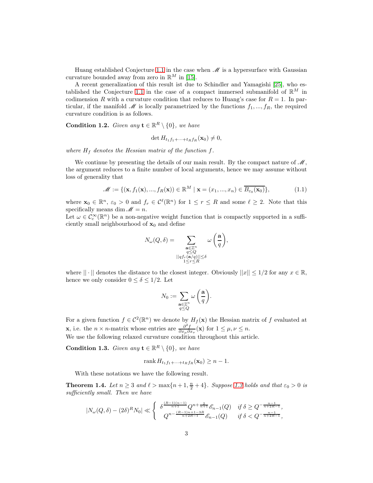Huang established Conjecture [1.1](#page-1-0) in the case when  $\mathcal M$  is a hypersurface with Gaussian curvature bounded away from zero in  $\mathbb{R}^M$  in [\[15\]](#page-36-2).

A recent generalization of this result ist due to Schindler and Yamagishi [\[25\]](#page-36-0), who es-tablished the Conjecture [1.1](#page-1-0) in the case of a compact immersed submanifold of  $\mathbb{R}^M$  in codimension R with a curvature condition that reduces to Huang's case for  $R = 1$ . In particular, if the manifold  $\mathcal{M}$  is locally parametrized by the functions  $f_1, ..., f_R$ , the required curvature condition is as follows.

<span id="page-2-3"></span>**Condition 1.2.** Given any  $\mathbf{t} \in \mathbb{R}^R \setminus \{0\}$ , we have

$$
\det H_{t_1f_1+\cdots+t_Rf_R}(\mathbf{x}_0)\neq 0,
$$

where  $H_f$  denotes the Hessian matrix of the function f.

We continue by presenting the details of our main result. By the compact nature of  $\mathscr M$ , the argument reduces to a finite number of local arguments, hence we may assume without loss of generality that

<span id="page-2-2"></span>
$$
\mathscr{M} := \{ (\mathbf{x}, f_1(\mathbf{x}), ..., f_R(\mathbf{x})) \in \mathbb{R}^M \mid \mathbf{x} = (x_1, ..., x_n) \in \overline{B_{\varepsilon_0}(\mathbf{x}_0)} \},
$$
(1.1)

where  $\mathbf{x}_0 \in \mathbb{R}^n$ ,  $\varepsilon_0 > 0$  and  $f_r \in \mathcal{C}^{\ell}(\mathbb{R}^n)$  for  $1 \leq r \leq R$  and some  $\ell \geq 2$ . Note that this specifically means dim  $\mathcal{M} = n$ .

Let  $\omega \in C_c^{\infty}(\mathbb{R}^n)$  be a non-negative weight function that is compactly supported in a sufficiently small neighbourhood of  $x_0$  and define

$$
N_{\omega}(Q,\delta) = \sum_{\substack{\mathbf{a} \in \mathbb{Z}^n \\ q \leq Q \\ ||qf, \epsilon a/q, ||\leq \delta \\ 1 \leq r \leq R}} \omega \left(\frac{\mathbf{a}}{q}\right),
$$

where  $|| \cdot ||$  denotes the distance to the closest integer. Obviously  $||x|| \leq 1/2$  for any  $x \in \mathbb{R}$ , hence we only consider  $0 \le \delta \le 1/2$ . Let

$$
N_0:=\sum_{{\mathbf{a}}\in\mathbb Z^n\atop q\leq Q}\omega\left(\frac{{\mathbf{a}}}{q}\right).
$$

For a given function  $f \in C^2(\mathbb{R}^n)$  we denote by  $H_f(\mathbf{x})$  the Hessian matrix of f evaluated at **x**, i.e. the  $n \times n$ -matrix whose entries are  $\frac{\partial^2 f}{\partial x_\mu \partial x_\nu}(\mathbf{x})$  for  $1 \le \mu, \nu \le n$ . We use the following relaxed curvature condition throughout this article.

<span id="page-2-1"></span>**Condition 1.3.** Given any  $\mathbf{t} \in \mathbb{R}^R \setminus \{0\}$ , we have

$$
\operatorname{rank} H_{t_1f_1+\cdots+t_Rf_R}(\mathbf{x}_0) \ge n-1.
$$

With these notations we have the following result.

<span id="page-2-0"></span>**Theorem 1.4.** Let  $n \geq 3$  and  $\ell > \max\{n+1, \frac{n}{2} + 4\}$ . Suppose [1.3](#page-2-1) holds and that  $\varepsilon_0 > 0$  is sufficiently small. Then we have

$$
|N_{\omega}(Q,\delta) - (2\delta)^R N_0| \ll \begin{cases} \delta^{\frac{(R-1)(n-1)}{n+1}} Q^{n+\frac{2}{n+1}} \mathcal{E}_{n-1}(Q) & \text{if } \delta \ge Q^{-\frac{n-1}{n+2R-1}},\\ Q^{n-\frac{(R-1)n+1-3R}{n+2R-1}} \mathcal{E}_{n-1}(Q) & \text{if } \delta < Q^{-\frac{n-1}{n+2R-1}}, \end{cases}
$$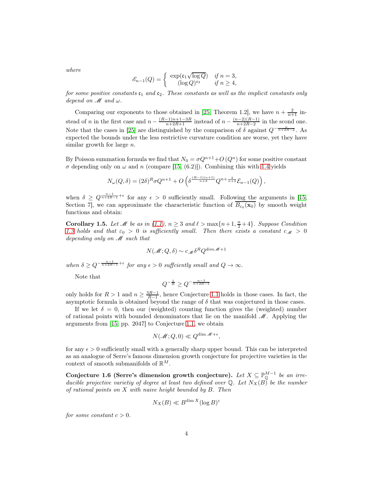where

$$
\mathcal{E}_{n-1}(Q) = \begin{cases} \exp(\mathfrak{c}_1 \sqrt{\log Q}) & \text{if } n = 3, \\ (\log Q)^{\mathfrak{c}_2} & \text{if } n \ge 4, \end{cases}
$$

for some positive constants  $c_1$  and  $c_2$ . These constants as well as the implicit constants only depend on  $\mathscr M$  and  $\omega$ .

Comparing our exponents to those obtained in [\[25,](#page-36-0) Theorem 1.2], we have  $n + \frac{2}{n+1}$  instead of *n* in the first case and  $n - \frac{(R-1)n+1-3R}{n+2R+1}$  instead of  $n - \frac{(n-2)(R-1)}{n+2R-2}$  $\frac{n-2(n-1)}{n+2R-2}$  in the scond one. Note that the cases in [\[25\]](#page-36-0) are distinguished by the comparison of  $\delta$  against  $Q^{-\frac{n}{n+2R-2}}$ . As expected the bounds under the less restrictive curvature condition are worse, yet they have similar growth for large  $n$ .

By Poisson summation formula we find that  $N_0 = \sigma Q^{n+1} + O(Q^n)$  for some positive constant  $\sigma$  depending only on  $\omega$  and n (compare [\[15,](#page-36-2) (6.2)]). Combining this with [1.4](#page-2-0) yields

$$
N_\omega(Q,\delta) = (2\delta)^R \sigma Q^{n+1} + O\left(\delta^{\frac{(R-1)(n+1)}{n+3}}Q^{n+\frac{4}{n+3}}\mathcal{E}_{n-1}(Q)\right),
$$

when  $\delta \geq Q^{\frac{n-1}{n+2R-1}+\epsilon}$  for any  $\epsilon > 0$  sufficiently small. Following the arguments in [\[15,](#page-36-2) Section 7, we can approximate the characteristic function of  $B_{\varepsilon_0}(\mathbf{x}_0)$  by smooth weight functions and obtain:

**Corollary 1.5.** Let M be as in  $(1.1)$ ,  $n \geq 3$  and  $\ell > \max\{n+1, \frac{n}{2}+4\}$ . Suppose Condition [1.3](#page-2-1) holds and that  $\varepsilon_0 > 0$  is sufficiently small. Then there exists a constant  $c_M > 0$ depending only on  $M$  such that

$$
N(\mathcal{M}; Q, \delta) \sim c_{\mathcal{M}} \delta^{R} Q^{\dim \mathcal{M} + 1}
$$

when  $\delta \geq Q^{-\frac{n-1}{n+2R-1}+\epsilon}$  for any  $\epsilon > 0$  sufficiently small and  $Q \to \infty$ .

Note that

$$
Q^{-\frac{1}{R}} \ge Q^{-\frac{n-1}{n+2R-1}}
$$

only holds for  $R > 1$  and  $n \geq \frac{3R-1}{R-1}$ , hence Conjecture [1.1](#page-1-0) holds in those cases. In fact, the asymptotic formula is obtained beyond the range of  $\delta$  that was conjectured in those cases.

If we let  $\delta = 0$ , then our (weighted) counting function gives the (weighted) number of rational points with bounded denominators that lie on the manifold  $\mathcal{M}$ . Applying the arguments from [\[15,](#page-36-2) pp. 2047] to Conjecture [1.1,](#page-1-0) we obtain

$$
N(\mathcal{M}; Q, 0) \ll Q^{\dim \mathcal{M} + \epsilon},
$$

for any  $\epsilon > 0$  sufficiently small with a generally sharp upper bound. This can be interpreted as an analogue of Serre's famous dimension growth conjecture for projective varieties in the context of smooth submanifolds of  $\mathbb{R}^M$ .

Conjecture 1.6 (Serre's dimension growth conjecture). Let  $X \subseteq \mathbb{P}_{\mathbb{Q}}^{M-1}$  be an irreducible projective varietiy of degree at least two defined over Q. Let  $N_X(B)$  be the number of rational points on X with naive height bounded by B. Then

$$
N_X(B) \ll B^{\dim X} (\log B)^c
$$

for some constant  $c > 0$ .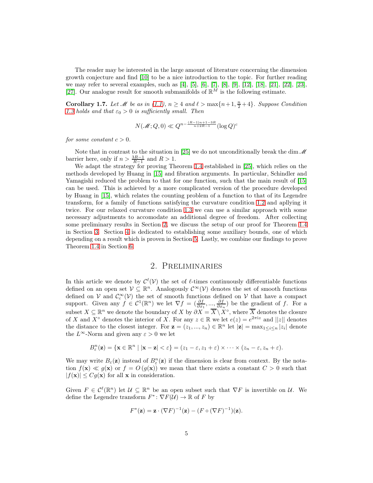The reader may be interested in the large amount of literature concerning the dimension growth conjecture and find [\[10\]](#page-36-8) to be a nice introduction to the topic. For further reading we may refer to several examples, such as [\[4\]](#page-35-2), [\[5\]](#page-35-3), [\[6\]](#page-35-4), [\[7\]](#page-35-5), [\[8\]](#page-35-6), [\[9\]](#page-35-7), [\[12\]](#page-36-9), [\[18\]](#page-36-10), [\[21\]](#page-36-11), [\[22\]](#page-36-12), [\[23\]](#page-36-13), [\[27\]](#page-37-1). Our analogue result for smooth submanifolds of  $\mathbb{R}^M$  is the following estimate.

**Corollary 1.7.** Let M be as in  $(1.1)$ ,  $n \ge 4$  and  $\ell > \max\{n+1, \frac{n}{2}+4\}$ . Suppose Condition [1.3](#page-2-1) holds and that  $\varepsilon_0 > 0$  is sufficiently small. Then

$$
N(\mathcal{M}; Q, 0) \ll Q^{n - \frac{(R-1)n + 1 - 3R}{n + 2R - 1}} (\log Q)^c
$$

for some constant  $c > 0$ .

Note that in contrast to the situation in [\[25\]](#page-36-0) we do not unconditionally break the dim  $\mathcal{M}$ barrier here, only if  $n > \frac{3R-1}{R-1}$  and  $R > 1$ .

We adapt the strategy for proving Theorem [1.4](#page-2-0) established in [\[25\]](#page-36-0), which relies on the methods developed by Huang in [\[15\]](#page-36-2) and fibration arguments. In particular, Schindler and Yamagishi reduced the problem to that for one function, such that the main result of [\[15\]](#page-36-2) can be used. This is achieved by a more complicated version of the procedure developed by Huang in [\[15\]](#page-36-2), which relates the counting problem of a function to that of its Legendre transform, for a family of functions satisfying the curvature condition [1.2](#page-2-3) and apllying it twice. For our relaxed curvature condition [1.3](#page-2-1) we can use a similar approach with some necessary adjustments to accomodate an additional degree of freedom. After collecting some preliminary results in Section [2,](#page-4-0) we discuss the setup of our proof for Theorem [1.4](#page-2-0) in Section [3.](#page-6-0) Section [4](#page-10-0) is dedicated to establishing some auxiliary bounds, one of which depending on a result which is proven in Section [5.](#page-22-0) Lastly, we combine our findings to prove Theorem [1.4](#page-2-0) in Section [6.](#page-34-0)

#### 2. Preliminaries

<span id="page-4-0"></span>In this article we denote by  $\mathcal{C}^{\ell}(\mathcal{V})$  the set of  $\ell$ -times continuously differentiable functions defined on an open set  $V \subseteq \mathbb{R}^n$ . Analogously  $\mathcal{C}^\infty(\mathcal{V})$  denotes the set of smooth functions defined on  $V$  and  $\mathcal{C}_c^{\infty}(V)$  the set of smooth functions defined on  $V$  that have a compact support. Given any  $f \in C^1(\mathbb{R}^n)$  we let  $\nabla f = (\frac{\partial f}{\partial x_1}, ..., \frac{\partial f}{\partial x_n})$  be the gradient of f. For a subset  $X \subseteq \mathbb{R}^n$  we denote the boundary of X by  $\partial X = \overline{X} \setminus X^\circ$ , where  $\overline{X}$  denotes the closure of X and  $X^{\circ}$  denotes the interior of X. For any  $z \in \mathbb{R}$  we let  $e(z) = e^{2\pi i z}$  and  $||z||$  denotes the distance to the closest integer. For  $\mathbf{z} = (z_1, ..., z_n) \in \mathbb{R}^n$  let  $|\mathbf{z}| = \max_{1 \leq i \leq n} |z_i|$  denote the  $L^{\infty}$ -Norm and given any  $\varepsilon > 0$  we let

$$
B_{\varepsilon}^{n}(\mathbf{z}) = \{\mathbf{x} \in \mathbb{R}^{n} \mid |\mathbf{x} - \mathbf{z}| < \varepsilon\} = (z_{1} - \varepsilon, z_{1} + \varepsilon) \times \cdots \times (z_{n} - \varepsilon, z_{n} + \varepsilon).
$$

We may write  $B_{\varepsilon}(\mathbf{z})$  instead of  $B_{\varepsilon}^{n}(\mathbf{z})$  if the dimension is clear from context. By the notation  $f(\mathbf{x}) \ll g(\mathbf{x})$  or  $f = O(g(\mathbf{x}))$  we mean that there exists a constant  $C > 0$  such that  $|f(\mathbf{x})| \leq Cg(\mathbf{x})$  for all **x** in consideration.

Given  $F \in \mathcal{C}^{\ell}(\mathbb{R}^n)$  let  $\mathcal{U} \subseteq \mathbb{R}^n$  be an open subset such that  $\nabla F$  is invertible on  $\mathcal{U}$ . We define the Legendre transform  $F^* \colon \nabla F(\mathcal{U}) \to \mathbb{R}$  of  $F$  by

$$
F^*(\mathbf{z}) = \mathbf{z} \cdot (\nabla F)^{-1}(\mathbf{z}) - (F \circ (\nabla F)^{-1})(\mathbf{z}).
$$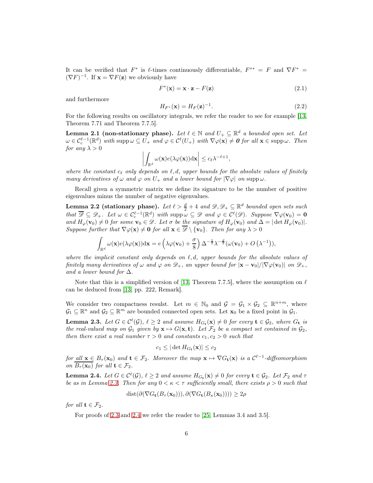It can be verified that  $F^*$  is  $\ell$ -times continuously differentiable,  $F^{**} = F$  and  $\nabla F^* =$  $(\nabla F)^{-1}$ . If  $\mathbf{x} = \nabla F(\mathbf{z})$  we obviously have

<span id="page-5-4"></span>
$$
F^*(\mathbf{x}) = \mathbf{x} \cdot \mathbf{z} - F(\mathbf{z}) \tag{2.1}
$$

and furthermore

<span id="page-5-5"></span>
$$
H_{F^*}(\mathbf{x}) = H_F(\mathbf{z})^{-1}.
$$
\n(2.2)

For the following results on oscillatory integrals, we refer the reader to see for example [\[13,](#page-36-14) Theorem 7.71 and Theorem 7.7.5].

<span id="page-5-2"></span>**Lemma 2.1 (non-stationary phase).** Let  $\ell \in \mathbb{N}$  and  $U_+ \subseteq \mathbb{R}^d$  a bounded open set. Let  $\omega \in C_c^{\ell-1}(\mathbb{R}^d)$  with  $\text{supp}\,\omega \subseteq U_+$  and  $\varphi \in C^{\ell}(U_+)$  with  $\nabla \varphi(\mathbf{x}) \neq \boldsymbol{0}$  for all  $\mathbf{x} \in \text{supp}\,\omega$ . Then for any  $\lambda > 0$ 

$$
\left| \int_{\mathbb{R}^d} \omega(\mathbf{x}) e(\lambda \varphi(\mathbf{x})) \mathrm{d}\mathbf{x} \right| \leq c_\ell \lambda^{-\ell+1},
$$

where the constant  $c_{\ell}$  only depends on  $\ell, d$ , upper bounds for the absolute values of finitely many derivatives of  $\omega$  and  $\varphi$  on  $U_+$  and a lower bound for  $|\nabla \varphi|$  on supp $\omega$ .

Recall given a symmetric matrix we define its signature to be the number of positive eigenvalues minus the number of negative eigenvalues.

<span id="page-5-3"></span>**Lemma 2.2 (stationary phase).** Let  $\ell > \frac{d}{2} + 4$  and  $\mathscr{D}, \mathscr{D}_+ \subseteq \mathbb{R}^d$  bounded open sets such that  $\overline{\mathscr{D}} \subseteq \mathscr{D}_+$ . Let  $\omega \in C_c^{\ell-1}(\mathbb{R}^d)$  with supp $\omega \subseteq \mathscr{D}$  and  $\varphi \in C^{\ell}(\mathscr{D})$ . Suppose  $\nabla \varphi(\mathbf{v}_0) = \mathbf{0}$ and  $H_{\varphi}(\mathbf{v}_0) \neq 0$  for some  $\mathbf{v}_0 \in \mathscr{D}$ . Let  $\sigma$  be the signature of  $H_{\varphi}(\mathbf{v}_0)$  and  $\Delta = |\det H_{\varphi}(\mathbf{v}_0)|$ . Suppose further that  $\nabla \varphi(\mathbf{x}) \neq \mathbf{0}$  for all  $\mathbf{x} \in \overline{\mathscr{D}} \setminus {\{\mathbf{v}_0\}}$ . Then for any  $\lambda > 0$ 

$$
\int_{\mathbb{R}^d} \omega(\mathbf{x}) e(\lambda \varphi(\mathbf{x})) \mathrm{d}\mathbf{x} = e\left(\lambda \varphi(\mathbf{v}_0) + \frac{\sigma}{8}\right) \Delta^{-\frac{1}{2}} \lambda^{-\frac{d}{2}} (\omega(\mathbf{v}_0) + O\left(\lambda^{-1}\right)),
$$

where the implicit constant only depends on  $\ell, d$ , upper bounds for the absolute values of finitely many derivatives of  $\omega$  and  $\varphi$  on  $\mathscr{D}_+$ , an upper bound for  $|\mathbf{x}-\mathbf{v}_0|/|\nabla \varphi(\mathbf{v}_0)|$  on  $\mathscr{D}_+$ , and a lower bound for  $\Delta$ .

Note that this is a simplified version of [\[13,](#page-36-14) Theorem 7.7.5], where the assumption on  $\ell$ can be deduced from [\[13,](#page-36-14) pp. 222, Remark].

We consider two compactness resulst. Let  $m \in \mathbb{N}_0$  and  $\mathcal{G} = \mathcal{G}_1 \times \mathcal{G}_2 \subseteq \mathbb{R}^{n+m}$ , where  $\mathcal{G}_1 \subseteq \mathbb{R}^n$  and  $\mathcal{G}_2 \subseteq \mathbb{R}^m$  are bounded connected open sets. Let  $\mathbf{x}_0$  be a fixed point in  $\mathcal{G}_1$ .

<span id="page-5-0"></span>**Lemma 2.3.** Let  $G \in C^{\ell}(\mathcal{G})$ ,  $\ell \geq 2$  and assume  $H_{G_{\mathbf{t}}}(\mathbf{x}) \neq 0$  for every  $\mathbf{t} \in \mathcal{G}_2$ , where  $G_{\mathbf{t}}$  is the real-valued map on  $\mathcal{G}_1$  given by  $\mathbf{x} \mapsto G(\mathbf{x}, \mathbf{t})$ . Let  $\mathcal{F}_2$  be a compact set contained in  $\mathcal{G}_2$ , then there exist a real number  $\tau > 0$  and constants  $c_1, c_2 > 0$  such that

$$
c_1 \le |\det H_{G_{\mathbf{t}}}(\mathbf{x})| \le c_2
$$

for  $\text{all } x \in B_{\tau}(x_0)$  and  $t \in \mathcal{F}_2$ . Moreover the map  $x \mapsto \nabla G_t(x)$  is a  $\mathcal{C}^{\ell-1}$ -diffeomorphism on  $\overline{B_{\tau}(\mathbf{x}_0)}$  for all  $\mathbf{t} \in \mathcal{F}_2$ .

<span id="page-5-1"></span>**Lemma 2.4.** Let  $G \in \mathcal{C}^{\ell}(\mathcal{G})$ ,  $\ell \geq 2$  and assume  $H_{G_{\mathbf{t}}}(\mathbf{x}) \neq 0$  for every  $\mathbf{t} \in \mathcal{G}_2$ . Let  $\mathcal{F}_2$  and  $\tau$ be as in Lemma [2.3.](#page-5-0) Then for any  $0 < \kappa < \tau$  sufficiently small, there exists  $\rho > 0$  such that

$$
dist(\partial(\nabla G_{\mathbf{t}}(B_{\tau}(\mathbf{x}_0))), \partial(\nabla G_{\mathbf{t}}(B_{\kappa}(\mathbf{x}_0)))) \ge 2\rho
$$

for all  $\mathbf{t} \in \mathcal{F}_2$ .

For proofs of [2.3](#page-5-0) and [2.4](#page-5-1) we refer the reader to [\[25,](#page-36-0) Lemmas 3.4 and 3.5].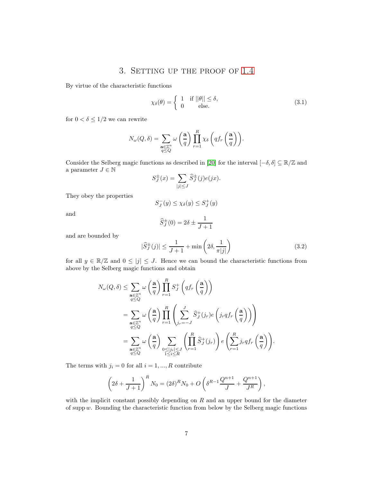#### 3. Setting up the proof of [1.4](#page-2-0)

<span id="page-6-0"></span>By virtue of the characteristic functions

<span id="page-6-2"></span>
$$
\chi_{\delta}(\theta) = \begin{cases} 1 & \text{if } ||\theta|| \le \delta, \\ 0 & \text{else.} \end{cases}
$$
 (3.1)

for  $0 < \delta \leq 1/2$  we can rewrite

$$
N_{\omega}(Q,\delta) = \sum_{\substack{\mathbf{a}\in\mathbb{Z}^n\\q\leq Q}} \omega\left(\frac{\mathbf{a}}{q}\right) \prod_{r=1}^R \chi_{\delta}\left(qf_r\left(\frac{\mathbf{a}}{q}\right)\right).
$$

Consider the Selberg magic functions as described in [\[20\]](#page-36-15) for the interval  $[-\delta, \delta] \subseteq \mathbb{R}/\mathbb{Z}$  and a parameter  $J \in \mathbb{N}$ 

$$
S_J^{\pm}(x) = \sum_{|j| \leq J} \widehat{S}_J^{\pm}(j)e(jx).
$$

They obey the properties

$$
S_J^-(y) \le \chi_\delta(y) \le S_J^+(y)
$$

and

$$
\widehat{S}_J^{\pm}(0) = 2\delta \pm \frac{1}{J+1}
$$

and are bounded by

<span id="page-6-1"></span>
$$
|\widehat{S}_J^{\pm}(j)| \le \frac{1}{J+1} + \min\left(2\delta, \frac{1}{\pi|j|}\right) \tag{3.2}
$$

.

for all  $y \in \mathbb{R}/\mathbb{Z}$  and  $0 \leq |j| \leq J$ . Hence we can bound the characteristic functions from above by the Selberg magic functions and obtain

$$
N_{\omega}(Q, \delta) \leq \sum_{\substack{\mathbf{a} \in \mathbb{Z}^n \\ q \leq Q}} \omega\left(\frac{\mathbf{a}}{q}\right) \prod_{r=1}^R S_f^+ \left(qf_r\left(\frac{\mathbf{a}}{q}\right)\right)
$$
  
= 
$$
\sum_{\substack{\mathbf{a} \in \mathbb{Z}^n \\ q \leq Q}} \omega\left(\frac{\mathbf{a}}{q}\right) \prod_{r=1}^R \left(\sum_{j_r=-J}^J \widehat{S}_J^+(j_r) e\left(j_r qf_r\left(\frac{\mathbf{a}}{q}\right)\right)\right)
$$
  
= 
$$
\sum_{\substack{\mathbf{a} \in \mathbb{Z}^n \\ q \leq Q}} \omega\left(\frac{\mathbf{a}}{q}\right) \sum_{\substack{0 \leq |j_i| \leq J \\ 1 \leq i \leq R}} \left(\prod_{r=1}^R \widehat{S}_J^+(j_r) e\left(\sum_{r=1}^R j_r qf_r\left(\frac{\mathbf{a}}{q}\right)\right)\right)
$$

The terms with  $j_i = 0$  for all  $i = 1, ..., R$  contribute

$$
\left(2\delta + \frac{1}{J+1}\right)^R N_0 = (2\delta)^R N_0 + O\left(\delta^{R-1} \frac{Q^{n+1}}{J} + \frac{Q^{n+1}}{J^R}\right),\,
$$

with the implicit constant possibly depending on  $R$  and an upper bound for the diameter of supp  $w$ . Bounding the characteristic function from below by the Selberg magic functions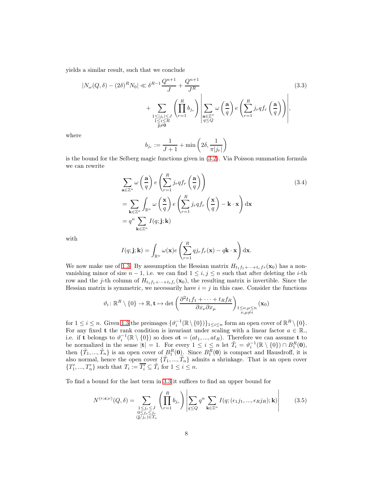yields a similar result, such that we conclude

$$
|N_{\omega}(Q,\delta) - (2\delta)^{R} N_{0}| \ll \delta^{R-1} \frac{Q^{n+1}}{J} + \frac{Q^{n+1}}{J^{R}}
$$
  
+ 
$$
\sum_{\substack{1 \leq |j_{i}| \leq J \\ 1 \leq i \leq R}} \left(\prod_{r=1}^{R} b_{j_{r}}\right) \left| \sum_{\substack{\mathbf{a} \in \mathbb{Z}^{n} \\ q \leq Q}} \omega\left(\frac{\mathbf{a}}{q}\right) e\left(\sum_{r=1}^{R} j_{r} q f_{r}\left(\frac{\mathbf{a}}{q}\right)\right) \right|,
$$
(3.3)

where

<span id="page-7-0"></span>
$$
b_{j_r} := \frac{1}{J+1} + \min\left(2\delta, \frac{1}{\pi|j_r|}\right)
$$

is the bound for the Selberg magic functions given in [\(3.2\)](#page-6-1). Via Poisson summation formula we can rewrite

$$
\sum_{\mathbf{a}\in\mathbb{Z}^n} \omega\left(\frac{\mathbf{a}}{q}\right) e\left(\sum_{r=1}^R j_r q f_r\left(\frac{\mathbf{a}}{q}\right)\right)
$$
\n
$$
= \sum_{\mathbf{k}\in\mathbb{Z}^n} \int_{\mathbb{R}^n} \omega\left(\frac{\mathbf{x}}{q}\right) e\left(\sum_{r=1}^R j_r q f_r\left(\frac{\mathbf{x}}{q}\right) - \mathbf{k}\cdot\mathbf{x}\right) d\mathbf{x}
$$
\n
$$
= q^n \sum_{\mathbf{k}\in\mathbb{Z}^n} I(q; \mathbf{j}; \mathbf{k})
$$
\n(3.4)

with

$$
I(q; \mathbf{j}; \mathbf{k}) = \int_{\mathbb{R}^n} \omega(\mathbf{x}) e\left(\sum_{r=1}^R q j_r f_r(\mathbf{x}) - q\mathbf{k} \cdot \mathbf{x}\right) d\mathbf{x}.
$$

We now make use of [1.3.](#page-2-1) By assumption the Hessian matrix  $H_{t_1f_1+\cdots+t_rfr}(\mathbf{x}_0)$  has a nonvanishing minor of size  $n-1$ , i.e. we can find  $1 \leq i, j \leq n$  such that after deleting the *i*-th row and the j-th column of  $H_{t_1f_1+\cdots+t_tf_r}(\mathbf{x}_0)$ , the resulting matrix is invertible. Since the Hessian matrix is symmetric, we necessarily have  $i = j$  in this case. Consider the functions

$$
\vartheta_i \colon \mathbb{R}^R \setminus \{0\} \to \mathbb{R}, \mathbf{t} \mapsto \det \left( \frac{\partial^2 t_1 f_1 + \dots + t_R f_R}{\partial x_\nu \partial x_\mu} \right)_{\substack{1 \le \nu, \mu \le n \\ \nu, \mu \ne i}} (\mathbf{x}_0)
$$

for  $1 \leq i \leq n$ . Given [1.3](#page-2-1) the preimages  $\{\vartheta_i^{-1}(\mathbb{R} \setminus \{0\})\}_{1 \leq i \leq n}$  form an open cover of  $\mathbb{R}^R \setminus \{0\}$ . For any fixed t the rank condition is invariant under scaling with a linear factor  $a \in \mathbb{R}$ , i.e. if **t** belongs to  $\vartheta_i^{-1}(\mathbb{R} \setminus \{0\})$  so does  $a\mathbf{t} = (at_1, ..., at_R)$ . Therefore we can assume **t** to be normalized in the sense  $|\mathbf{t}| = 1$ . For every  $1 \leq i \leq n$  let  $\tilde{T}_i = \vartheta_i^{-1}(\mathbb{R} \setminus \{0\}) \cap B_1^R(\mathbf{0}),$ then  $\{\tilde{T}_1, ..., \tilde{T}_n\}$  is an open cover of  $B_1^R(0)$ . Since  $B_1^R(0)$  is compact and Hausdroff, it is also normal, hence the open cover  $\{\tilde{T}_1, ..., \tilde{T}_n\}$  admits a shrinkage. That is an open cover  $\{T'_1, ..., T'_n\}$  such that  $T_i := \overline{T'_i} \subseteq \tilde{T}_i$  for  $1 \leq i \leq n$ .

To find a bound for the last term in [3.3](#page-7-0) it suffices to find an upper bound for

<span id="page-7-1"></span>
$$
N^{(r; \epsilon; \nu)}(Q, \delta) = \sum_{\substack{1 \le j_r \le J \\ 0 \le j_s \le j_r \\ (j/j_r) \in T_{\nu}}} \left( \prod_{r=1}^R b_{j_r} \right) \left| \sum_{q \le Q} q^n \sum_{\mathbf{k} \in \mathbb{Z}^n} I(q; (\epsilon_1 j_1, ..., \epsilon_R j_R); \mathbf{k}) \right| \tag{3.5}
$$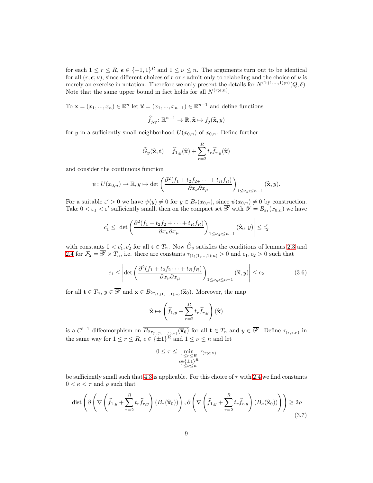for each  $1 \leq r \leq R$ ,  $\epsilon \in \{-1,1\}^R$  and  $1 \leq \nu \leq n$ . The arguments turn out to be identical for all  $(r; \epsilon; \nu)$ , since different choices of r or  $\epsilon$  admit only to relabeling and the choice of  $\nu$  is merely an exercise in notation. Therefore we only present the details for  $N^{(1;(1,...,1);n)}(Q,\delta)$ . Note that the same upper bound in fact holds for all  $N^{(r;\epsilon;n)}$ .

To  $\mathbf{x} = (x_1, ..., x_n) \in \mathbb{R}^n$  let  $\hat{\mathbf{x}} = (x_1, ..., x_{n-1}) \in \mathbb{R}^{n-1}$  and define functions

$$
\widehat{f}_{j,y} \colon \mathbb{R}^{n-1} \to \mathbb{R}, \widehat{\mathbf{x}} \mapsto f_j(\widehat{\mathbf{x}}, y)
$$

for y in a sufficiently small neighborhood  $U(x_{0,n})$  of  $x_{0,n}$ . Define further

$$
\widehat{G}_y(\widehat{\mathbf{x}}, \mathbf{t}) = \widehat{f}_{1,y}(\widehat{\mathbf{x}}) + \sum_{r=2}^R t_r \widehat{f}_{r,y}(\widehat{\mathbf{x}})
$$

and consider the continuous function

$$
\psi: U(x_{0,n}) \to \mathbb{R}, y \mapsto \det\left(\frac{\partial^2 (f_1+t_2f_2+\cdots+t_Rf_R)}{\partial x_\nu \partial x_\mu}\right)_{1 \leq \nu, \mu \leq n-1} (\widehat{\mathbf{x}}, y).
$$

For a suitable  $\varepsilon' > 0$  we have  $\psi(y) \neq 0$  for  $y \in B_{\varepsilon}(x_{0,n})$ , since  $\psi(x_{0,n}) \neq 0$  by construction. Take  $0 < \varepsilon_1 < \varepsilon'$  sufficiently small, then on the compact set  $\overline{\mathscr{Y}}$  with  $\mathscr{Y} = B_{\varepsilon_1}(x_{0,n})$  we have

$$
c'_1 \le \left| \det \left( \frac{\partial^2 (f_1 + t_2 f_2 + \dots + t_R f_R)}{\partial x_\nu \partial x_\mu} \right)_{1 \le \nu, \mu \le n-1} (\hat{\mathbf{x}}_0, y) \right| \le c'_2
$$

with constants  $0 < c'_1, c'_2$  for all  $\mathbf{t} \in T_n$ . Now  $G_y$  satisfies the conditions of lemmas [2.3](#page-5-0) and [2](#page-5-1).4 for  $\mathcal{F}_2 = \overline{\mathscr{Y}} \times T_n$ , i.e. there are constants  $\tau_{(1,(1,...,1);n)} > 0$  and  $c_1, c_2 > 0$  such that

<span id="page-8-1"></span>
$$
c_1 \le \left| \det \left( \frac{\partial^2 (f_1 + t_2 f_2 \cdots + t_R f_R)}{\partial x_\nu \partial x_\mu} \right)_{1 \le \nu, \mu \le n-1} (\hat{\mathbf{x}}, y) \right| \le c_2 \tag{3.6}
$$

for all  $\mathbf{t} \in T_n$ ,  $y \in \overline{\mathscr{Y}}$  and  $\mathbf{x} \in B_{2\tau_{(1,(1,...,1);n)}}(\hat{\mathbf{x}}_0)$ . Moreover, the map

$$
\widehat{\mathbf{x}} \mapsto \left(\widehat{f}_{1,y} + \sum_{r=2}^{R} t_r \widehat{f}_{r,y}\right)(\widehat{\mathbf{x}})
$$

is a  $\mathcal{C}^{\ell-1}$  diffeomorphism on  $\overline{B_{2\tau_{(1;(1,\ldots,1);n)}}(\hat{\mathbf{x}}_0)}$  for all  $\mathbf{t} \in T_n$  and  $y \in \overline{\mathscr{Y}}$ . Define  $\tau_{(r;\epsilon;\nu)}$  in the same way for  $1 \le r \le R$ ,  $\epsilon \in {\pm 1}^R$  and  $1 \le \nu \le n$  and let

$$
0 \le \tau \le \min_{\substack{1 \le r \le R \\ \epsilon \in \{\pm 1\}^R \\ 1 \le \nu \le n}} \tau_{(r; \epsilon; \nu)}
$$

be sufficiently small such that [4.3](#page-16-0) is applicable. For this choice of  $\tau$  with [2.4](#page-5-1) we find constants  $0 < \kappa < \tau$  and  $\rho$  such that

<span id="page-8-0"></span>
$$
\text{dist}\left(\partial\left(\nabla\left(\widehat{f}_{1,y} + \sum_{r=2}^{R} t_r \widehat{f}_{r,y}\right)(B_{\tau}(\widehat{\mathbf{x}}_0))\right), \partial\left(\nabla\left(\widehat{f}_{1,y} + \sum_{r=2}^{R} t_r \widehat{f}_{r,y}\right)(B_{\kappa}(\widehat{\mathbf{x}}_0))\right)\right) \ge 2\rho\tag{3.7}
$$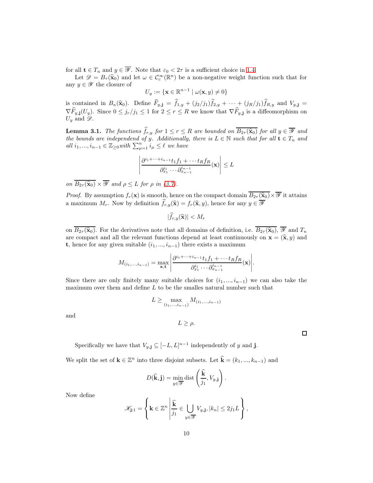for all  $\mathbf{t} \in T_n$  and  $y \in \overline{\mathscr{Y}}$ . Note that  $\varepsilon_0 < 2\tau$  is a sufficient choice in [1.4.](#page-2-0)

Let  $\mathscr{D} = B_{\tau}(\hat{\mathbf{x}}_0)$  and let  $\omega \in C_c^{\infty}(\mathbb{R}^n)$  be a non-negative weight function such that for any  $y \in \mathscr{Y}$  the closure of

$$
U_y := \{ \mathbf{x} \in \mathbb{R}^{n-1} \mid \omega(\mathbf{x}, y) \neq 0 \}
$$

is contained in  $B_{\kappa}(\hat{\mathbf{x}}_0)$ . Define  $F_{y,\mathbf{j}} = f_{1,y} + (j_2/j_1)f_{2,y} + \cdots + (j_R/j_1)f_{R,y}$  and  $V_{y,\mathbf{j}} =$  $\nabla F_{y, \mathbf{j}}(U_y)$ . Since  $0 \leq j_r/j_1 \leq 1$  for  $2 \leq r \leq R$  we know that  $\nabla F_{y, \mathbf{j}}$  is a diffeomorphism on  $U_y$  and  $\mathscr{D}$ .

<span id="page-9-0"></span>**Lemma 3.1.** The functions  $\widehat{f}_{r,y}$  for  $1 \leq r \leq R$  are bounded on  $\overline{B_{2\tau}(\widehat{\mathbf{x}}_0)}$  for all  $y \in \overline{\mathscr{Y}}$  and the bounds are independend of y. Additionally, there is  $L \in \mathbb{N}$  such that for all  $\mathbf{t} \in T_n$  and all  $i_1, ..., i_{n-1}$  ∈  $\mathbb{Z}_{\geq 0}$  with  $\sum_{\mu=1}^n i_{\mu} \leq \ell$  we have

$$
\left| \frac{\partial^{i_1+\dots+i_{n-1}} t_1 f_1 + \dots + t_R f_R}{\partial_{x_1}^{i_1} \dots \partial_{x_{n-1}}^{i_{n-1}}}(\mathbf{x}) \right| \leq L
$$

on  $\overline{B_{2\tau}(\hat{\mathbf{x}}_0)} \times \overline{\mathcal{Y}}$  and  $\rho \leq L$  for  $\rho$  in [\(3.7\)](#page-8-0).

*Proof.* By assumption  $f_r(\mathbf{x})$  is smooth, hence on the compact domain  $\overline{B_{2r}(\mathbf{\hat{x}}_0)} \times \overline{\mathscr{Y}}$  it attains a maximum  $M_r$ . Now by definition  $\widehat{f}_{r,y}(\widehat{\mathbf{x}}) = f_r(\widehat{\mathbf{x}}, y)$ , hence for any  $y \in \overline{\mathscr{Y}}$ 

$$
|f_{r,y}(\widehat{\mathbf{x}})| < M_r
$$

on  $\overline{B_{2\tau}(\hat{\mathbf{x}}_0)}$ . For the derivatives note that all domains of definition, i.e.  $\overline{B_{2\tau}(\hat{\mathbf{x}}_0)}$ ,  $\overline{\mathscr{Y}}$  and  $T_n$ are compact and all the relevant functions depend at least continuously on  $\mathbf{x} = (\hat{\mathbf{x}}, y)$  and t, hence for any given suitable  $(i_1, ..., i_{n-1})$  there exists a maximum

$$
M_{(i_1,...,i_{n-1})} = \max_{\mathbf{x},\mathbf{t}} \left| \frac{\partial^{i_1+\cdots+i_{n-1}} t_1 f_1 + \cdots + f_R f_R}{\partial_{x_1}^{i_1} \cdots \partial_{x_{n-1}}^{i_{n-1}}}(\mathbf{x}) \right|.
$$

Since there are only finitely many suitable choices for  $(i_1, ..., i_{n-1})$  we can also take the maximum over them and define  $L$  to be the smalles natural number such that

$$
L \geq \max_{(i_1,\ldots,i_{n-1})} M_{(i_1,\ldots,i_{n-1})}
$$

and

$$
L\geq \rho.
$$

Specifically we have that  $V_{y, \mathbf{j}} \subseteq [-L, L]^{n-1}$  independently of y and j.

We split the set of  $\mathbf{k} \in \mathbb{Z}^n$  into three disjoint subsets. Let  $\hat{\mathbf{k}} = (k_1, ..., k_{n-1})$  and

$$
D(\widehat{\mathbf{k}}, \mathbf{j}) = \min_{y \in \overline{\mathscr{Y}}} \text{dist}\left(\frac{\widehat{\mathbf{k}}}{j_1}, V_{y, \mathbf{j}}\right).
$$

Now define

$$
\mathscr{K}_{\mathbf{j};1} = \left\{ \mathbf{k} \in \mathbb{Z}^n \left| \frac{\widehat{\mathbf{k}}}{j_1} \in \bigcup_{y \in \overline{\mathscr{Y}}} V_{y,\mathbf{j}}, |k_n| \leq 2j_1L \right. \right\},\
$$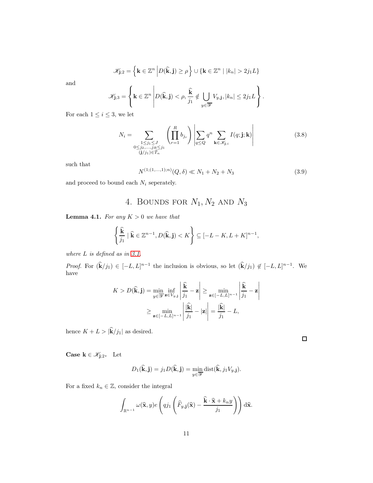$$
\mathscr{K}_{\mathbf{j},2} = \left\{ \mathbf{k} \in \mathbb{Z}^n \left| D(\widehat{\mathbf{k}}, \mathbf{j}) \ge \rho \right. \right\} \cup \left\{ \mathbf{k} \in \mathbb{Z}^n \mid |k_n| > 2j_1 L \right\}
$$

and

$$
\mathscr{K}_{\mathbf{j};3} = \left\{ \mathbf{k} \in \mathbb{Z}^n \left| D(\widehat{\mathbf{k}}, \mathbf{j}) < \rho, \frac{\widehat{\mathbf{k}}}{j_1} \notin \bigcup_{y \in \overline{\mathscr{Y}}} V_{y,\mathbf{j}}, |k_n| \le 2j_1 L \right\}
$$

For each  $1\leq i\leq 3,$  we let

$$
N_i = \sum_{\substack{1 \le j_1 \le J \\ 0 \le j_2, \dots, j_R \le j_1 \\ (j/j_1) \in \tilde{T}_n}} \left( \prod_{r=1}^R b_{j_r} \right) \left| \sum_{q \le Q} q^n \sum_{\mathbf{k} \in \mathcal{K}_{j,i}} I(q; \mathbf{j}; \mathbf{k}) \right| \tag{3.8}
$$

such that

<span id="page-10-2"></span>
$$
N^{(1;(1,\ldots,1);n)}(Q,\delta) \ll N_1 + N_2 + N_3 \tag{3.9}
$$

.

<span id="page-10-0"></span>and proceed to bound each  $N_i$  seperately.

## 4. BOUNDS FOR  $N_1, N_2$  and  $N_3$

<span id="page-10-1"></span>**Lemma 4.1.** For any  $K > 0$  we have that

$$
\left\{\frac{\widehat{\mathbf{k}}}{j_1} \mid \widehat{\mathbf{k}} \in \mathbb{Z}^{n-1}, D(\widehat{\mathbf{k}}, \mathbf{j}) < K\right\} \subseteq [-L - K, L + K]^{n-1},
$$

where L is defined as in [3.1.](#page-9-0)

*Proof.* For  $(\hat{\mathbf{k}}/j_1) \in [-L, L]^{n-1}$  the inclusion is obvious, so let  $(\hat{\mathbf{k}}/j_1) \notin [-L, L]^{n-1}$ . We have

$$
K > D(\widehat{\mathbf{k}}, \mathbf{j}) = \min_{y \in \overline{\mathcal{Y}}} \inf_{\mathbf{z} \in V_{y, \mathbf{j}}} \left| \frac{\widehat{\mathbf{k}}}{j_1} - \mathbf{z} \right| \ge \min_{\mathbf{z} \in [-L, L]^{n-1}} \left| \frac{\widehat{\mathbf{k}}}{j_1} - \mathbf{z} \right|
$$

$$
\ge \min_{\mathbf{z} \in [-L, L]^{n-1}} \left| \frac{|\widehat{\mathbf{k}}|}{j_1} - |\mathbf{z}| \right| = \frac{|\widehat{\mathbf{k}}|}{j_1} - L,
$$

hence  $K+L>|\widehat{\bf k}/j_1|$  as desired.

Case  $k \in \mathcal{K}_{j;2}$ . Let

$$
D_1(\widehat{\mathbf{k}}, \mathbf{j}) = j_1 D(\widehat{\mathbf{k}}, \mathbf{j}) = \min_{y \in \overline{\mathscr{Y}}} \text{dist}(\widehat{\mathbf{k}}, j_1 V_{y, \mathbf{j}}).
$$

For a fixed  $k_n\in\mathbb{Z},$  consider the integral

$$
\int_{\mathbb{R}^{n-1}} \omega(\widehat{\mathbf{x}}, y) e\left(q j_1\left(\widehat{F}_{y, \mathbf{j}}(\widehat{\mathbf{x}}) - \frac{\widehat{\mathbf{k}} \cdot \widehat{\mathbf{x}} + k_n y}{j_1}\right)\right) d\widehat{\mathbf{x}}.
$$

 $\Box$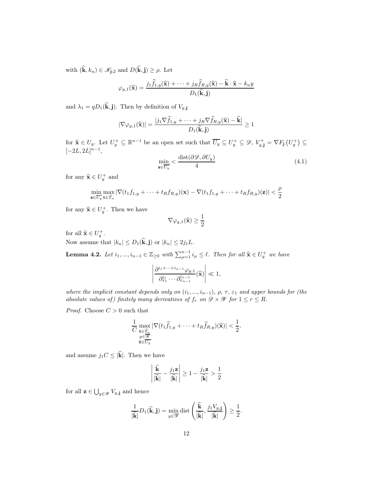with  $(\widehat{\mathbf{k}}, k_n) \in \mathscr{K}_{\mathbf{j};2}$  and  $D(\widehat{\mathbf{k}}, \mathbf{j}) \geq \rho$ . Let

$$
\varphi_{y,1}(\widehat{\mathbf{x}}) = \frac{j_1 \widehat{f}_{1,y}(\widehat{\mathbf{x}}) + \dots + j_R \widehat{f}_{R,y}(\widehat{\mathbf{x}}) - \widehat{\mathbf{k}} \cdot \widehat{\mathbf{x}} - k_n y}{D_1(\widehat{\mathbf{k}}, \mathbf{j})}
$$

and  $\lambda_1 = qD_1(\hat{\mathbf{k}}, \mathbf{j})$ . Then by definition of  $V_{y, \mathbf{j}}$ 

$$
|\nabla \varphi_{y,1}(\widehat{\mathbf{x}})| = \frac{|j_1 \nabla \widehat{f}_{1,y} + \dots + j_R \nabla \widehat{f}_{R,y}(\widehat{\mathbf{x}}) - \widehat{\mathbf{k}}|}{D_1(\widehat{\mathbf{k}}, \mathbf{j})} \ge 1
$$

for  $\hat{\mathbf{x}} \in U_y$ . Let  $U_y^+ \subseteq \mathbb{R}^{n-1}$  be an open set such that  $\overline{U_y} \subseteq U_y^+ \subseteq \mathscr{D}$ ,  $V_{y, \mathbf{j}}^+ = \nabla F_{\mathbf{j}}(U_y^+) \subseteq$  $[-2L, 2L]^{n-1},$ 

<span id="page-11-1"></span>
$$
\min_{\mathbf{z}\in\overline{U_y}} < \frac{\text{dist}(\partial\mathcal{D}, \partial U_y)}{4} \tag{4.1}
$$

for any  $\hat{\mathbf{x}} \in U_y^+$  and

$$
\min_{\mathbf{z}\in\overline{U_y}} \max_{\mathbf{t}\in\widetilde{T}_n} |\nabla (t_1f_{1,y} + \cdots + t_Rf_{R,y})(\mathbf{x}) - \nabla (t_1f_{1,y} + \cdots + t_Rf_{R,y})(\mathbf{z})| < \frac{\rho}{2}
$$

for any  $\hat{\mathbf{x}} \in U_y^+$ . Then we have

$$
\nabla \varphi_{y,1}(\widehat{\mathbf{x}}) \ge \frac{1}{2}
$$

for all  $\hat{\mathbf{x}} \in U_y^+$ .

Now assume that  $|k_n| \leq D_1(\hat{\mathbf{k}}, \mathbf{j})$  or  $|k_n| \leq 2j_1L$ .

<span id="page-11-0"></span>**Lemma 4.2.** Let  $i_1, ..., i_{n-1} \in \mathbb{Z}_{\geq 0}$  with  $\sum_{\mu=1}^{n-1} i_{\mu} \leq \ell$ . Then for all  $\hat{\mathbf{x}} \in U_y^+$  we have

$$
\left|\frac{\partial^{i_1+\cdots+i_{n-1}}\varphi_{y,1}}{\partial_{x_1}^{i_1}\cdots\partial_{x_{n-1}}^{i_{n-1}}}(\widehat{\mathbf{x}})\right|\ll 1,
$$

where the implicit constant depends only on  $(i_1, ..., i_{n-1})$ ,  $\rho$ ,  $\tau$ ,  $\varepsilon_1$  and upper bounds for (the absolute values of) finitely many derivatives of  $f_r$  on  $\mathscr{D} \times \mathscr{Y}$  for  $1 \leq r \leq R$ .

*Proof.* Choose  $C > 0$  such that

$$
\frac{1}{C}\max_{\substack{\mathbf{t}\in\tilde{T}_n\\\mathbf{y}\in\overline{\mathscr{Y}}\\\mathbf{\hat{x}}\in\overline{U_y}}} |\nabla(t_1\widehat{f}_{1,y}+\cdots+t_R\widehat{f}_{R,y})(\widehat{\mathbf{x}})| < \frac{1}{2}.
$$

and assume  $j_1C \leq |\hat{k}|$ . Then we have

$$
\left| \frac{\widehat{\mathbf{k}}}{|\widehat{\mathbf{k}}|} - \frac{j_1 \mathbf{z}}{|\widehat{\mathbf{k}}|} \right| \ge 1 - \frac{j_1 \mathbf{z}}{|\widehat{\mathbf{k}}|} > \frac{1}{2}
$$

for all  $\mathbf{z} \in \bigcup_{y \in \mathcal{Y}} V_{y, \mathbf{j}}$  and hence

$$
\frac{1}{|\widehat{\mathbf{k}}|}D_1(\widehat{\mathbf{k}},\mathbf{j}) = \min_{y \in \overline{\mathscr{Y}}} \text{dist}\left(\frac{\widehat{\mathbf{k}}}{|\widehat{\mathbf{k}}|}, \frac{j_1 V_{y,\mathbf{j}}}{|\widehat{\mathbf{k}}|}\right) \ge \frac{1}{2}.
$$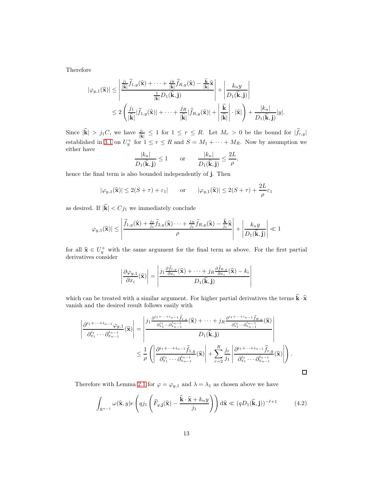Therefore

$$
\begin{aligned} |\varphi_{y,1}(\widehat{\mathbf{x}})|&\leq\left|\frac{\frac{j_1}{|\widehat{\mathbf{k}}|}\widehat{f}_{1,y}(\widehat{\mathbf{x}})+\cdots+\frac{j_R}{|\widehat{\mathbf{k}}|}\widehat{f}_{R,y}(\widehat{\mathbf{x}})-\frac{\widehat{\mathbf{k}}}{|\widehat{\mathbf{k}}|}\widehat{\mathbf{x}}}{\frac{1}{|\widehat{\mathbf{k}}|}D_1(\widehat{\mathbf{k}},\mathbf{j})}\right|+\left|\frac{k_ny}{D_1(\widehat{\mathbf{k}},\mathbf{j})}\right|\\ &\leq 2\left(\frac{j_1}{|\widehat{\mathbf{k}}|}|\widehat{f}_{1,y}(\widehat{\mathbf{x}})|+\cdots+\frac{j_R}{|\widehat{\mathbf{k}}|}|\widehat{f}_{R,y}(\widehat{\mathbf{x}})|+\left|\frac{\widehat{\mathbf{k}}}{|\widehat{\mathbf{k}}|}\right|\cdot|\widehat{\mathbf{x}}|\right)+\frac{|k_n|}{D_1(\widehat{\mathbf{k}},\mathbf{j})}|y|. \end{aligned}
$$

Since  $|\hat{\mathbf{k}}| > j_1 C$ , we have  $\frac{j_r}{|\hat{\mathbf{k}}|} \leq 1$  for  $1 \leq r \leq R$ . Let  $M_r > 0$  be the bound for  $|\hat{f}_{r,y}|$ established in [3.1](#page-9-0) on  $U_y^+$  for  $1 \le r \le R$  and  $S = M_1 + \cdots + M_R$ . Now by assumption we either have

$$
\frac{|k_n|}{D_1(\widehat{\mathbf{k}}, \mathbf{j})} \le 1 \quad \text{or} \quad \frac{|k_n|}{D_1(\widehat{\mathbf{k}}, \mathbf{j})} \le \frac{2L}{\rho},
$$

hence the final term is also bounded independently of j. Then

$$
|\varphi_{y,1}(\hat{\mathbf{x}})| \le 2(S + \tau) + \varepsilon_1
$$
 or  $|\varphi_{y,1}(\hat{\mathbf{x}})| \le 2(S + \tau) + \frac{2L}{\rho} \varepsilon_1$ 

as desired. If  $|\hat{k}| < Cj_1$  we immediately conclude

$$
\varphi_{y,1}(\widehat{\mathbf{x}})| \le \left| \frac{\widehat{f}_{1,y}(\widehat{\mathbf{x}}) + \frac{j_2}{j_1} \widehat{f}_{2,y}(\widehat{\mathbf{x}}) \cdots + \frac{j_R}{j_1} \widehat{f}_{R,y}(\widehat{\mathbf{x}}) - \frac{\widehat{\mathbf{k}}}{j_1} \widehat{\mathbf{x}}}{\rho} \right| + \left| \frac{k_n y}{D_1(\widehat{\mathbf{k}}, \mathbf{j})} \right| \ll 1
$$

for all  $\hat{\mathbf{x}} \in U_y^+$  with the same argument for the final term as above. For the first partial derivatives except the derivatives consider

$$
\left|\frac{\partial \varphi_{y,1}}{\partial x_i}(\widehat{\mathbf{x}})\right| = \left|\frac{j_1 \frac{\partial \widehat{f}_{1,y}}{\partial x_i}(\widehat{\mathbf{x}}) + \dots + j_R \frac{\partial \widehat{f}_{R,y}}{\partial x_i}(\widehat{\mathbf{x}}) - k_i}{D_1(\widehat{\mathbf{k}},\mathbf{j})}\right|
$$

which can be treated with a similar argument. For higher partial derivatives the terms  $\hat{\mathbf{k}} \cdot \hat{\mathbf{x}}$ vanish and the desired result follows easily with

$$
\begin{aligned}\n\left| \frac{\partial^{i_1+\cdots+i_{n-1}}\varphi_{y,1}}{\partial_{x_1}^{i_1}\cdots\partial_{x_{n-1}}^{i_{n-1}}}(\widehat{\mathbf{x}}) \right| &= \left| \frac{j_1 \frac{\partial^{i_1+\cdots+i_{n-1}}\widehat{f}_{1,y}}{\partial_{x_1}^{i_1}\cdots\partial_{x_{n-1}}^{i_{n-1}}}(\widehat{\mathbf{x}}) + \cdots + j_R \frac{\partial^{i_1+\cdots+i_{n-1}}\widehat{f}_{R,y}}{\partial_{x_1}^{i_1}\cdots\partial_{x_{n-1}}^{i_{n-1}}}(\widehat{\mathbf{x}})}{D_1(\widehat{\mathbf{k}},\mathbf{j})} \right| \\
&\leq \frac{1}{\rho} \left( \left| \frac{\partial^{i_1+\cdots+i_{n-1}}\widehat{f}_{1,y}}{\partial_{x_1}^{i_1}\cdots\partial_{x_{n-1}}^{i_{n-1}}}(\widehat{\mathbf{x}}) \right| + \sum_{r=2}^R \frac{j_r}{j_1} \left| \frac{\partial^{i_1+\cdots+i_{n-1}}\widehat{f}_{r,y}}{\partial_{x_1}^{i_1}\cdots\partial_{x_{n-1}}^{i_{n-1}}}(\widehat{\mathbf{x}}) \right| \right). \n\end{aligned}
$$

Therefore with Lemma [2.1](#page-5-2) for  $\varphi = \varphi_{y,1}$  and  $\lambda = \lambda_1$  as chosen above we have

$$
\int_{\mathbb{R}^{n-1}} \omega(\hat{\mathbf{x}}, y) e\left(q j_1 \left(\widehat{F}_{y, \mathbf{j}}(\hat{\mathbf{x}}) - \frac{\widehat{\mathbf{k}} \cdot \widehat{\mathbf{x}} + k_n y}{j_1}\right)\right) d\hat{\mathbf{x}} \ll (q D_1(\widehat{\mathbf{k}}, \mathbf{j}))^{-\ell+1}
$$
(4.2)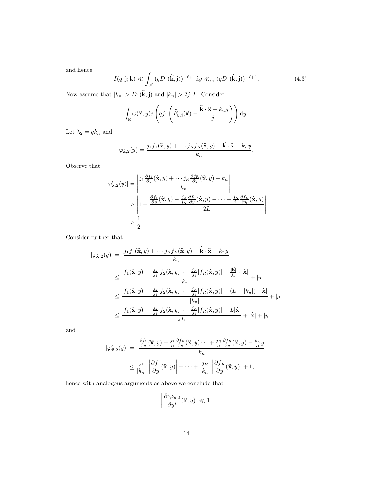and hence

<span id="page-13-0"></span>
$$
I(q; \mathbf{j}; \mathbf{k}) \ll \int_{\mathcal{Y}} (qD_1(\hat{\mathbf{k}}, \mathbf{j}))^{-\ell+1} \mathrm{d}y \ll_{\varepsilon_1} (qD_1(\hat{\mathbf{k}}, \mathbf{j}))^{-\ell+1}.
$$
 (4.3)

Now assume that  $|k_n| > D_1(\hat{\mathbf{k}}, \mathbf{j})$  and  $|k_n| > 2j_1L$ . Consider

$$
\int_{\mathbb{R}} \omega(\widehat{\mathbf{x}}, y) e\left(qj_1\left(\widehat{F}_{y, \mathbf{j}}(\widehat{\mathbf{x}}) - \frac{\widehat{\mathbf{k}} \cdot \widehat{\mathbf{x}} + k_n y}{j_1}\right)\right) dy.
$$

Let  $\lambda_2=qk_n$  and

$$
\varphi_{\widehat{\mathbf{x}},2}(y) = \frac{j_1 f_1(\widehat{\mathbf{x}},y) + \cdots j_R f_R(\widehat{\mathbf{x}},y) - \widehat{\mathbf{k}} \cdot \widehat{\mathbf{x}} - k_n y}{k_n}.
$$

Observe that

$$
|\varphi'_{\mathbf{\hat{x}},2}(y)| = \left| \frac{j_1 \frac{\partial f_1}{\partial y}(\mathbf{\hat{x}}, y) + \cdots j_R \frac{\partial f_R}{\partial y}(\mathbf{\hat{x}}, y) - k_n}{k_n} \right|
$$
  
\n
$$
\geq \left| 1 - \frac{\frac{\partial f_1}{\partial y}(\mathbf{\hat{x}}, y) + \frac{j_2}{j_R} \frac{\partial f_2}{\partial y}(\mathbf{\hat{x}}, y) + \cdots + \frac{j_R}{j_1} \frac{\partial f_R}{\partial y}(\mathbf{\hat{x}}, y)}{2L} \right|
$$
  
\n
$$
\geq \frac{1}{2}.
$$

Consider further that

$$
|\varphi_{\widehat{\mathbf{x}},2}(y)| = \left| \frac{j_1 f_1(\widehat{\mathbf{x}}, y) + \cdots j_R f_R(\widehat{\mathbf{x}}, y) - \widehat{\mathbf{k}} \cdot \widehat{\mathbf{x}} - k_n y}{k_n} \right|
$$
  
\n
$$
\leq \frac{|f_1(\widehat{\mathbf{x}}, y)| + \frac{j_2}{j_1} |f_2(\widehat{\mathbf{x}}, y)| \cdots \frac{j_R}{j_1} |f_R(\widehat{\mathbf{x}}, y)| + \frac{|\widehat{\mathbf{k}}|}{j_1} \cdot |\widehat{\mathbf{x}}|}{|k_n|} + |y|
$$
  
\n
$$
\leq \frac{|f_1(\widehat{\mathbf{x}}, y)| + \frac{j_2}{j_1} |f_2(\widehat{\mathbf{x}}, y)| \cdots \frac{j_R}{j_1} |f_R(\widehat{\mathbf{x}}, y)| + (L + |k_n|) \cdot |\widehat{\mathbf{x}}|}{|k_n|} + |y|
$$
  
\n
$$
\leq \frac{|f_1(\widehat{\mathbf{x}}, y)| + \frac{j_2}{j_1} |f_2(\widehat{\mathbf{x}}, y)| \cdots \frac{j_R}{j_1} |f_R(\widehat{\mathbf{x}}, y)| + L|\widehat{\mathbf{x}}|}{2L} + |\widehat{\mathbf{x}}| + |y|,
$$

and

$$
|\varphi'_{\widehat{\mathbf{x}},2}(y)| = \left| \frac{\frac{\partial f_1}{\partial y}(\widehat{\mathbf{x}},y) + \frac{j_2}{j_1} \frac{\partial f_R}{\partial y}(\widehat{\mathbf{x}},y) \cdots + \frac{j_R}{j_1} \frac{\partial f_R}{\partial y}(\widehat{\mathbf{x}},y) - \frac{k_n}{j_1} y}{k_n} \right|
$$
  

$$
\leq \frac{j_1}{|k_n|} \left| \frac{\partial f_1}{\partial y}(\widehat{\mathbf{x}},y) \right| + \cdots + \frac{j_R}{|k_n|} \left| \frac{\partial f_R}{\partial y}(\widehat{\mathbf{x}},y) \right| + 1,
$$

 $\begin{array}{c} \hline \end{array}$  $\overline{\phantom{a}}$  $\overline{\phantom{a}}$  $\overline{\phantom{a}}$  $\overline{\phantom{a}}$ 

hence with analogous arguments as above we conclude that

$$
\left|\frac{\partial^i\varphi_{\widehat{\mathbf{x}},2}}{\partial y^i}(\widehat{\mathbf{x}},y)\right|\ll 1,
$$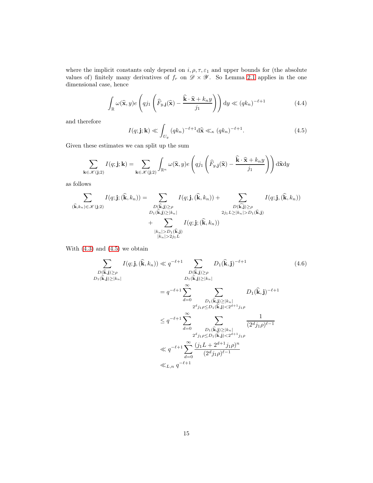where the implicit constants only depend on  $i, \rho, \tau, \varepsilon_1$  and upper bounds for (the absolute values of) finitely many derivatives of  $f_r$  on  $\mathscr{D} \times \mathscr{Y}$ . So Lemma [2.1](#page-5-2) applies in the one dimensional case, hence

$$
\int_{\mathbb{R}} \omega(\widehat{\mathbf{x}}, y) e\left(q j_1 \left(\widehat{F}_{y, \mathbf{j}}(\widehat{\mathbf{x}}) - \frac{\widehat{\mathbf{k}} \cdot \widehat{\mathbf{x}} + k_n y}{j_1}\right)\right) dy \ll (q k_n)^{-\ell+1}
$$
\n(4.4)

and therefore

<span id="page-14-0"></span>
$$
I(q; \mathbf{j}; \mathbf{k}) \ll \int_{U_y} (q k_n)^{-\ell+1} d\hat{\mathbf{x}} \ll_{\kappa} (q k_n)^{-\ell+1}.
$$
 (4.5)

Given these estimates we can split up the sum

$$
\sum_{\mathbf{k}\in\mathscr{K}(\mathbf{j};2)} I(q;\mathbf{j};\mathbf{k}) = \sum_{\mathbf{k}\in\mathscr{K}(\mathbf{j};2)} \int_{\mathbb{R}^n} \omega(\widehat{\mathbf{x}},y) e\left(qj_1\left(\widehat{F}_{y,\mathbf{j}}(\widehat{\mathbf{x}}) - \frac{\widehat{\mathbf{k}}\cdot\widehat{\mathbf{x}} + k_ny}{j_1}\right)\right) d\widehat{\mathbf{x}} dy
$$

as follows

$$
\sum_{\substack{(\widehat{\mathbf{k}},k_n)\in\mathscr{K}(\mathbf{j};2)}}I(q;\mathbf{j};(\widehat{\mathbf{k}},k_n))=\sum_{\substack{D(\widehat{\mathbf{k}},\mathbf{j})\geq\rho\\D_1(\widehat{\mathbf{k}},\mathbf{j})\geq |k_n|\\+\sum_{\substack{|k_n|>D_1(\widehat{\mathbf{k}},\mathbf{j})\\|k_n|>2j_1L}}I(q;\mathbf{j};(\widehat{\mathbf{k}},k_n))}^{\text{}}\\+\sum_{\substack{|k_n|>D_1(\widehat{\mathbf{k}},\mathbf{j})\\|k_n|>2j_1L}}I(q;\mathbf{j};(\widehat{\mathbf{k}},k_n))
$$

With  $(4.3)$  and  $(4.5)$  we obtain

<span id="page-14-1"></span>
$$
\sum_{\substack{D(\hat{\mathbf{k}},\mathbf{j})\geq\rho\\D_1(\hat{\mathbf{k}},\mathbf{j})\geq |k_n|}} I(q;\mathbf{j},(\hat{\mathbf{k}},k_n)) \ll q^{-\ell+1} \sum_{\substack{D(\hat{\mathbf{k}},\mathbf{j})\geq \rho\\D_1(\hat{\mathbf{k}},\mathbf{j})\geq |k_n|}} D_1(\hat{\mathbf{k}},\mathbf{j})^{-\ell+1}} D_1(\hat{\mathbf{k}},\mathbf{j})^{-\ell+1}
$$
(4.6)  

$$
= q^{-\ell+1} \sum_{d=0}^{\infty} \sum_{\substack{D_1(\hat{\mathbf{k}},\mathbf{j})\geq |k_n|\\2^d j_1 \rho \leq D_1(\hat{\mathbf{k}},\mathbf{j}) < 2^{d+1} j_1 \rho}} D_1(\hat{\mathbf{k}},\mathbf{j})^{-\ell+1}
$$

$$
\leq q^{-\ell+1} \sum_{d=0}^{\infty} \sum_{\substack{D_1(\hat{\mathbf{k}},\mathbf{j})\geq |k_n|\\2^d j_1 \rho \leq D_1(\hat{\mathbf{k}},\mathbf{j}) < 2^{d+1} j_1 \rho}} \frac{1}{(2^d j_1 \rho)^{\ell-1}}
$$

$$
\ll q^{-\ell+1} \sum_{d=0}^{\infty} \frac{(j_1 L + 2^{d+1} j_1 \rho)^n}{(2^d j_1 \rho)^{\ell-1}}
$$

$$
\ll_{L,n} q^{-\ell+1}
$$
(4.6)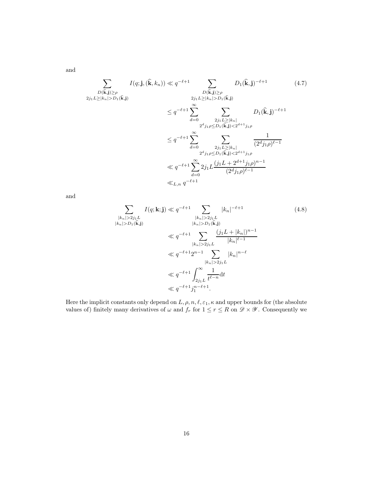and

$$
\sum_{\substack{D(\hat{\mathbf{k}},\mathbf{j})\geq\rho\\2j_1L\geq|k_n|>D_1(\hat{\mathbf{k}},\mathbf{j})}} I(q;\mathbf{j},(\hat{\mathbf{k}},k_n)) \ll q^{-\ell+1} \sum_{\substack{D(\hat{\mathbf{k}},\mathbf{j})\geq\rho\\2j_1L\geq|k_n|>D_1(\hat{\mathbf{k}},\mathbf{j})}} D_1(\hat{\mathbf{k}},\mathbf{j})^{-\ell+1} \tag{4.7}
$$
\n
$$
\leq q^{-\ell+1} \sum_{d=0}^{\infty} \sum_{\substack{2j_1L\geq|k_n|\\2^d\mathbf{j}_1\rho\leq D_1(\hat{\mathbf{k}},\mathbf{j})<2^{d+1}j_1\rho\\2^d\mathbf{j}_1\rho\leq D_1(\hat{\mathbf{k}},\mathbf{j})<2^{d+1}j_1\rho}} \frac{1}{(2^dj_1\rho)^{\ell-1}}
$$
\n
$$
\ll q^{-\ell+1} \sum_{d=0}^{\infty} \sum_{\substack{2j_1L\geq|k_n|\\2^d\mathbf{j}_1\rho\leq D_1(\hat{\mathbf{k}},\mathbf{j})<2^{d+1}j_1\rho\\2^d\mathbf{j}_1\rho\geq 0}} \frac{1}{(2^dj_1\rho)^{\ell-1}}
$$
\n
$$
\ll q^{-\ell+1} \sum_{d=0}^{\infty} 2j_1L \frac{(j_1L+2^{d+1}j_1\rho)^{n-1}}{(2^dj_1\rho)^{\ell-1}}
$$
\n
$$
\ll_{L,n} q^{-\ell+1}
$$
\n(4.7)

and

$$
\sum_{\substack{|k_n| > 2j_1L \\ |k_n| > D_1(\hat{\mathbf{k}}, \mathbf{j})}} I(q; \mathbf{k}; \mathbf{j}) \ll q^{-\ell+1} \sum_{\substack{|k_n| > 2j_1L \\ |k_n| > D_1(\hat{\mathbf{k}}, \mathbf{j})}} |k_n|^{-\ell+1} \tag{4.8}
$$
\n
$$
\ll q^{-\ell+1} \sum_{\substack{|k_n| > 2j_1L \\ |k_n| > 2j_1}} \frac{(j_1L + |k_n|)^{n-1}}{|k_n|^{\ell-1}} \ll q^{-\ell+1} 2^{n-1} \sum_{\substack{|k_n| > 2j_1L \\ |k_n| > 2j_1L}} |k_n|^{n-\ell} \ll q^{-\ell+1} \int_{2j_1L}^{\infty} \frac{1}{t^{\ell-n}} dt \ll q^{-\ell+1} j_1^{n-\ell+1}.
$$
\n(4.8)

Here the implicit constants only depend on  $L, \rho, n, \ell, \varepsilon_1, \kappa$  and upper bounds for (the absolute values of) finitely many derivatives of  $\omega$  and  $f_r$  for  $1 \le r \le R$  on  $\mathscr{D} \times \mathscr{Y}$ . Consequently we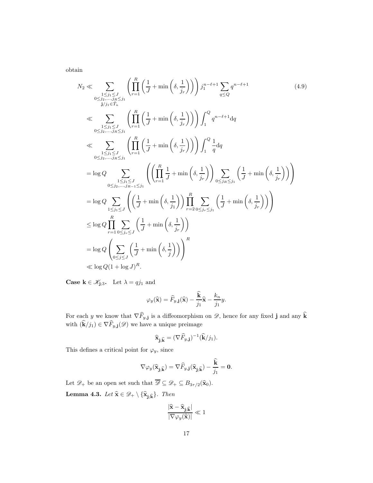obtain

<span id="page-16-1"></span>
$$
N_2 \ll \sum_{\substack{0 \le j_2, \dots, j_n \le j_1 \\ j \ne j_1 \in T_n}} \left( \prod_{r=1}^R \left( \frac{1}{J} + \min\left( \delta, \frac{1}{j_r} \right) \right) \right) j_1^{n-\ell+1} \sum_{q \le Q} q^{n-\ell+1}
$$
\n
$$
\ll \sum_{\substack{1 \le j_1 \le J \\ 0 \le j_2, \dots, j_n \le j_1 \\ j \ne j_1 \le J}} \left( \prod_{r=1}^R \left( \frac{1}{J} + \min\left( \delta, \frac{1}{j_r} \right) \right) \right) \int_1^Q q^{n-\ell+1} dq
$$
\n
$$
\ll \sum_{\substack{1 \le j_1 \le J \\ 0 \le j_2, \dots, j_n \le j_1 \\ j \ne j_1 \le J}} \left( \prod_{r=1}^R \left( \frac{1}{J} + \min\left( \delta, \frac{1}{j_r} \right) \right) \right) \int_1^Q \frac{1}{q} dq
$$
\n
$$
= \log Q \sum_{\substack{1 \le j_1 \le J \\ 0 \le j_2, \dots, j_n \le J_1 \le J}} \left( \left( \prod_{r=1}^R \frac{1}{J} + \min\left( \delta, \frac{1}{j_r} \right) \right) \sum_{0 \le j_1 \le j_1} \left( \frac{1}{J} + \min\left( \delta, \frac{1}{j_r} \right) \right) \right)
$$
\n
$$
= \log Q \sum_{\substack{1 \le j_1 \le J \\ 1 \le j_1 \le J}} \left( \left( \frac{1}{J} + \min\left( \delta, \frac{1}{j_1} \right) \right) \prod_{r=2}^R \sum_{0 \le j_r \le j_1} \left( \frac{1}{J} + \min\left( \delta, \frac{1}{j_r} \right) \right) \right)
$$
\n
$$
\le \log Q \prod_{r=1}^R \sum_{0 \le j_r \le J} \left( \frac{1}{J} + \min\left( \delta, \frac{1}{j_r} \right) \right)
$$
\n
$$
= \log Q \left( \sum_{0 \le j \le J} \left( \frac{1}{J} + \min\left( \delta, \frac{1}{j}
$$

**Case**  $\mathbf{k} \in \mathcal{K}_{\mathbf{j};3}$ . Let  $\lambda = qj_1$  and

$$
\varphi_y(\widehat{\mathbf{x}}) = \widehat{F}_{y, \mathbf{j}}(\widehat{\mathbf{x}}) - \frac{\widehat{\mathbf{k}}}{j_1} \widehat{\mathbf{x}} - \frac{k_n}{j_1} y.
$$

For each y we know that  $\nabla \widehat{F}_{y, \mathbf{j}}$  is a diffeomorphism on  $\mathscr{D}$ , hence for any fixed j and any  $\widehat{\mathbf{k}}$ with  $(\widehat{\mathbf{k}}/j_1) \in \nabla \widehat{F}_{y,\mathbf{j}}(\mathscr{D})$  we have a unique preimage

$$
\widehat{\mathbf{x}}_{\mathbf{j};\widehat{\mathbf{k}}} = (\nabla \widehat{F}_{y,\mathbf{j}})^{-1} (\widehat{\mathbf{k}}/j_1).
$$

This defines a critical point for  $\varphi_y,$  since

$$
\nabla\varphi_y(\widehat{\mathbf{x}}_{\mathbf{j};\widehat{\mathbf{k}}})=\nabla\widehat{F}_{y,\mathbf{j}}(\widehat{\mathbf{x}}_{\mathbf{j};\widehat{\mathbf{k}}})-\frac{\widehat{\mathbf{k}}}{j_1}=\mathbf{0}.
$$

<span id="page-16-0"></span>Let  $\mathscr{D}_+$  be an open set such that  $\overline{\mathscr{D}} \subseteq \mathscr{D}_+ \subseteq B_{3\tau/2}(\widehat{\mathbf{x}}_0)$ . Lemma 4.3. Let  $\hat{\mathbf{x}} \in \mathcal{D}_+ \setminus {\{\hat{\mathbf{x}}_{\mathbf{j};\hat{k}}\}}$ . Then

$$
\frac{|\hat{\mathbf{x}} - \hat{\mathbf{x}}_{\mathbf{j} ; \hat{\mathbf{k}}}|}{|\nabla \varphi_y(\hat{\mathbf{x}})|} \ll 1
$$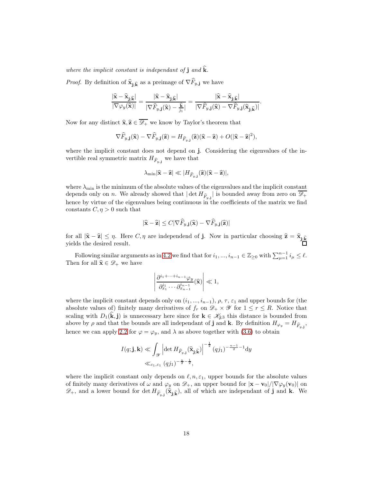where the implicit constant is independant of j and  $\hat{k}$ .

*Proof.* By definition of  $\hat{\mathbf{x}}_{\mathbf{j} ; \hat{\mathbf{k}}}$  as a preimage of  $\nabla \widehat{F}_{y, \mathbf{j}}$  we have

$$
\frac{|\widehat{\mathbf{x}}-\widehat{\mathbf{x}}_{\mathbf{j};\widehat{\mathbf{k}}}|}{|\nabla \varphi_y(\widehat{\mathbf{x}})|}=\frac{|\widehat{\mathbf{x}}-\widehat{\mathbf{x}}_{\mathbf{j};\widehat{\mathbf{k}}}|}{|\nabla \widehat{F}_{y,\mathbf{j}}(\widehat{\mathbf{x}})-\frac{\widehat{\mathbf{k}}}{j_1}|}=\frac{|\widehat{\mathbf{x}}-\widehat{\mathbf{x}}_{\mathbf{j};\widehat{\mathbf{k}}}|}{|\nabla \widehat{F}_{y,\mathbf{j}}(\widehat{\mathbf{x}})-\nabla \widehat{F}_{y,\mathbf{j}}(\widehat{\mathbf{x}}_{\mathbf{j};\widehat{\mathbf{k}}})|}.
$$

Now for any distinct  $\hat{\mathbf{x}}, \hat{\mathbf{z}} \in \overline{\mathscr{D}_+}$  we know by Taylor's theorem that

$$
\nabla \widehat{F}_{y, \mathbf{j}}(\widehat{\mathbf{x}}) - \nabla \widehat{F}_{y, \mathbf{j}}(\widehat{\mathbf{z}}) = H_{\widehat{F}_{y, \mathbf{j}}}(\widehat{\mathbf{z}})(\widehat{\mathbf{x}} - \widehat{\mathbf{z}}) + O(|\widehat{\mathbf{x}} - \widehat{\mathbf{z}}|^2),
$$

where the implicit constant does not depend on j. Considering the eigenvalues of the invertible real symmetric matrix  $H_{\widehat{F}_{y,j}}$  we have that

$$
\lambda_{\min} |\widehat{\mathbf{x}} - \widehat{\mathbf{z}}| \ll |H_{\widehat{F}_{y, \mathbf{j}}}(\widehat{\mathbf{z}})(\widehat{\mathbf{x}} - \widehat{\mathbf{z}})|,
$$

where  $\lambda_{\min}$  is the minimum of the absolute values of the eigenvalues and the implicit constant depends only on n. We already showed that  $|\det H_{\widehat{F}_{y,j}}|$  is bounded away from zero on  $\overline{\mathscr{D}_+}$ hence by virtue of the eigenvalues being continuous in the coefficients of the matrix we find constants  $C, \eta > 0$  such that

$$
|\hat{\mathbf{x}} - \hat{\mathbf{z}}| \leq C|\nabla \widehat{F}_{y, \mathbf{j}}(\hat{\mathbf{x}}) - \nabla \widehat{F}_{y, \mathbf{j}}(\hat{\mathbf{z}})|
$$

for all  $|\hat{\mathbf{x}} - \hat{\mathbf{z}}| \leq \eta$ . Here  $C, \eta$  are independend of j. Now in particular choosing  $\hat{\mathbf{z}} = \hat{\mathbf{x}}_{j, \hat{k}}$ yields the desired result.

Following similar arguments as in [4.2](#page-11-0) we find that for  $i_1, ..., i_{n-1} \in \mathbb{Z}_{\geq 0}$  with  $\sum_{\mu=1}^{n-1} i_{\mu} \leq \ell$ . Then for all  $\hat{\mathbf{x}} \in \mathscr{D}_+$  we have

$$
\left| \frac{\partial^{i_1+\cdots+i_{n-1}} \varphi_y}{\partial_{x_1}^{i_1}\cdots \partial_{x_{n-1}}^{i_{n-1}}} (\widehat{\mathbf{x}}) \right| \ll 1,
$$

where the implicit constant depends only on  $(i_1, ..., i_{n-1}), \rho, \tau, \varepsilon_1$  and upper bounds for (the absolute values of) finitely many derivatives of  $f_r$  on  $\mathscr{D}_+ \times \mathscr{Y}$  for  $1 \leq r \leq R$ . Notice that scaling with  $D_1(\hat{k},j)$  is unnecessary here since for  $k \in \mathscr{K}_{j,3}$  this distance is bounded from above by  $\rho$  and that the bounds are all independant of **j** and **k**. By definition  $H_{\varphi_y} = H_{\widehat{F}_{y,1}}$ , hence we can apply [2.2](#page-5-3) for  $\varphi = \varphi_y$ , and  $\lambda$  as above together with [\(3.6\)](#page-8-1) to obtain

$$
I(q; \mathbf{j}, \mathbf{k}) \ll \int_{\mathcal{Y}} \left| \det H_{\widehat{F}_{y, \mathbf{j}}}(\widehat{\mathbf{x}}_{\mathbf{j}, \widehat{\mathbf{k}}}) \right|^{-\frac{1}{2}} (qj_1)^{-\frac{n-1}{2}-1} dy
$$
  

$$
\ll_{c_1, \varepsilon_1} (qj_1)^{-\frac{n}{2}-\frac{1}{2}},
$$

where the implicit constant only depends on  $\ell, n, \varepsilon_1$ , upper bounds for the absolute values of finitely many derivatives of  $\omega$  and  $\varphi_y$  on  $\mathscr{D}_+$ , an upper bound for  $|\mathbf{x}-\mathbf{v}_0|/|\nabla \varphi_y(\mathbf{v}_0)|$  on  $\mathscr{D}_+$ , and a lower bound for det  $H_{\widehat{F}_{y,j}}(\widehat{\mathbf{x}}_{\mathbf{j},\widehat{\mathbf{k}}})$ , all of which are independant of j and k. We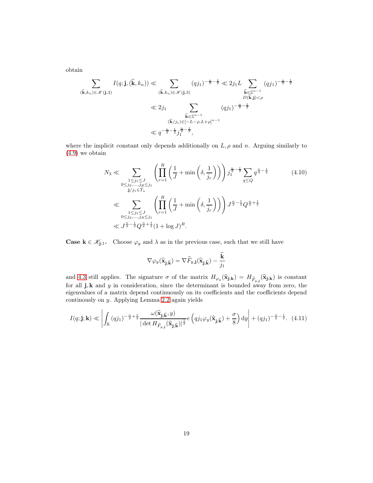obtain

$$
\sum_{(\hat{\mathbf{k}},k_n)\in\mathcal{K}(\mathbf{j},3)} I(q;\mathbf{j},(\hat{\mathbf{k}},k_n)) \ll \sum_{(\hat{\mathbf{k}},k_n)\in\mathcal{K}(\mathbf{j},3)} (qj_1)^{-\frac{n}{2}-\frac{1}{2}} \ll 2j_1 L \sum_{\substack{\hat{\mathbf{k}}\in\mathbb{Z}^{n-1} \\ D(\hat{\mathbf{k}},\mathbf{j})<\rho}} (qj_1)^{-\frac{n}{2}-\frac{1}{2}}
$$
\n
$$
\ll 2j_1 \sum_{\substack{\hat{\mathbf{k}}\in\mathbb{Z}^{n-1} \\ (\hat{\mathbf{k}}/j_1)\in[-L-\rho,L+\rho]^{n-1}}} (qj_1)^{-\frac{n}{2}-\frac{1}{2}}
$$
\n
$$
\ll q^{-\frac{n}{2}-\frac{1}{2}}j_1^{\frac{n}{2}-\frac{1}{2}},
$$

where the implicit constant only depends additionally on  $L, \rho$  and n. Arguing similarly to [\(4.9\)](#page-16-1) we obtain

$$
N_3 \ll \sum_{\substack{1 \le j_1 \le J \\ 0 \le j_2, \dots, j_R \le j_1 \\ j/j_1 \in \tilde{T}_n}} \left( \prod_{r=1}^R \left( \frac{1}{J} + \min\left( \delta, \frac{1}{j_r} \right) \right) \right) j_1^{\frac{n}{2} - \frac{1}{2}} \sum_{q \le Q} q^{\frac{n}{2} - \frac{1}{2}} \tag{4.10}
$$
  

$$
\ll \sum_{\substack{1 \le j_1 \le J \\ 0 \le j_2, \dots, j_R \le j_1 \\ q \le Z}} \left( \prod_{r=1}^R \left( \frac{1}{J} + \min\left( \delta, \frac{1}{j_r} \right) \right) \right) J^{\frac{n}{2} - \frac{1}{2}} Q^{\frac{n}{2} + \frac{1}{2}} \tag{4.10}
$$
  

$$
\ll J^{\frac{n}{2} - \frac{1}{2}} Q^{\frac{n}{2} + \frac{1}{2}} (1 + \log J)^R.
$$

**Case**  $k \in \mathcal{K}_{j,1}$ . Choose  $\varphi_y$  and  $\lambda$  as in the previous case, such that we still have

<span id="page-18-0"></span>
$$
\nabla \varphi_y(\widehat{\mathbf{x}}_{\mathbf{j};\widehat{\mathbf{k}}}) = \nabla \widehat{F}_{y,\mathbf{j}}(\widehat{\mathbf{x}}_{\mathbf{j};\widehat{\mathbf{k}}}) - \frac{\widehat{\mathbf{k}}}{j_1}
$$

and [4.3](#page-16-0) still applies. The signature  $\sigma$  of the matrix  $H_{\varphi_y}(\hat{\mathbf{x}}_{\mathbf{j},\mathbf{k}}) = H_{\hat{F}_y,\mathbf{j}}(\hat{\mathbf{x}}_{\mathbf{j},\mathbf{k}})$  is constant for all  $\mathbf{j}, \mathbf{k}$  and  $y$  in consideration, since the determinant is bounded away from zero, the eigenvalues of a matrix depend continuously on its coefficients and the coefficients depend continously on y. Applying Lemma [2.2](#page-5-3) again yields

<span id="page-18-1"></span>
$$
I(q; \mathbf{j}; \mathbf{k}) \ll \left| \int_{\mathbb{R}} (q j_1)^{-\frac{n}{2} + \frac{1}{2}} \frac{\omega(\widehat{\mathbf{x}}_{\mathbf{j}; \widehat{\mathbf{k}}}, y)}{|\det H_{\widehat{F}_{y, \mathbf{j}}}(\widehat{\mathbf{x}}_{\mathbf{j}; \widehat{\mathbf{k}}})|^{\frac{1}{2}}} e\left(q j_1 \varphi_y(\widehat{\mathbf{x}}_{\mathbf{j}; \widehat{\mathbf{k}}}) + \frac{\sigma}{8}\right) dy \right| + (q j_1)^{-\frac{n}{2} - \frac{1}{2}}.
$$
 (4.11)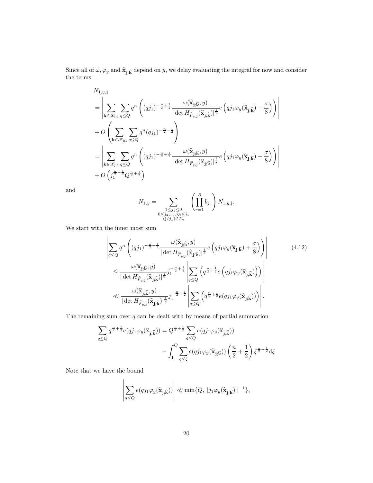Since all of  $\omega$ ,  $\varphi_y$  and  $\hat{\mathbf{x}}_{\mathbf{j};\hat{\mathbf{k}}}$  depend on y, we delay evaluating the integral for now and consider the terms

$$
\begin{split} &N_{1,y,\mathbf{j}}\\ &=\left|\sum_{\mathbf{k}\in\mathscr{K}_{\mathbf{j};1}}\sum_{q\leq Q}q^n\left((qj_1)^{-\frac{n}{2}+\frac{1}{2}}\frac{\omega(\widehat{\mathbf{x}}_{\mathbf{j};\widehat{\mathbf{k}}},y)}{\left|\det H_{\widehat{F}_{y,\mathbf{j}}}(\widehat{\mathbf{x}}_{\mathbf{j};\widehat{\mathbf{k}}})\right|^{\frac{1}{2}}}e\left(qj_1\varphi_y(\widehat{\mathbf{x}}_{\mathbf{j};\widehat{\mathbf{k}}})+\frac{\sigma}{8}\right)\right)\right|\\ &+O\left(\sum_{\mathbf{k}\in\mathscr{K}_{\mathbf{j};1}}\sum_{q\leq Q}q^n(qj_1)^{-\frac{n}{2}-\frac{1}{2}}\right)\\ &=\left|\sum_{\mathbf{k}\in\mathscr{K}_{\mathbf{j};1}}\sum_{q\leq Q}q^n\left((qj_1)^{-\frac{n}{2}+\frac{1}{2}}\frac{\omega(\widehat{\mathbf{x}}_{\mathbf{j};\widehat{\mathbf{k}}},y)}{\left|\det H_{\widehat{F}_{y,\mathbf{j}}}(\widehat{\mathbf{x}}_{\mathbf{j};\widehat{\mathbf{k}}})\right|^{\frac{1}{2}}}e\left(qj_1\varphi_y(\widehat{\mathbf{x}}_{\mathbf{j};\widehat{\mathbf{k}}})+\frac{\sigma}{8}\right)\right)\right|\\ &+O\left(j_1^{\frac{n}{2}-\frac{1}{2}}Q^{\frac{n}{2}+\frac{1}{2}}\right) \end{split}
$$

and

$$
N_{1,y} = \sum_{\substack{1 \le j_1 \le J \\ 0 \le j_2, \dots, j_R \le j_1 \\ (j/j_1) \in T_n}} \left( \prod_{r=1}^R b_{j_r} \right) N_{1,y,j}.
$$

We start with the inner most sum

$$
\left| \sum_{q \leq Q} q^{n} \left( (qj_{1})^{-\frac{n}{2} + \frac{1}{2}} \frac{\omega(\widehat{\mathbf{x}}_{\mathbf{j};\widehat{\mathbf{k}}},y)}{|\det H_{\widehat{F}_{y,\mathbf{j}}}(\widehat{\mathbf{x}}_{\mathbf{j};\widehat{\mathbf{k}}})|^{\frac{1}{2}}} e\left( qj_{1} \varphi_{y}(\widehat{\mathbf{x}}_{\mathbf{j};\widehat{\mathbf{k}}}) + \frac{\sigma}{8} \right) \right) \right|
$$
\n
$$
\leq \frac{\omega(\widehat{\mathbf{x}}_{\mathbf{j};\widehat{\mathbf{k}}},y)}{|\det H_{\widehat{F}_{y,\mathbf{j}}}(\widehat{\mathbf{x}}_{\mathbf{j};\widehat{\mathbf{k}}})|^{\frac{1}{2}}} j_{1}^{-\frac{n}{2} + \frac{1}{2}} \left| \sum_{q \leq Q} \left( q^{\frac{n}{2} + \frac{1}{2}} e\left( qj_{1} \varphi_{y}(\widehat{\mathbf{x}}_{\mathbf{j};\widehat{\mathbf{k}}}) \right) \right) \right|
$$
\n
$$
\ll \frac{\omega(\widehat{\mathbf{x}}_{\mathbf{j};\widehat{\mathbf{k}}},y)}{|\det H_{\widehat{F}_{y,\mathbf{j}}}(\widehat{\mathbf{x}}_{\mathbf{j};\widehat{\mathbf{k}}})|^{\frac{1}{2}}} j_{1}^{-\frac{n}{2} + \frac{1}{2}} \left| \sum_{q \leq Q} \left( q^{\frac{n}{2} + \frac{1}{2}} e(qj_{1} \varphi_{y}(\widehat{\mathbf{x}}_{\mathbf{j};\widehat{\mathbf{k}}})) \right) \right|.
$$
\n(4.12)

The remaining sum over  $q$  can be dealt with by means of partial summation

$$
\sum_{q \leq Q} q^{\frac{n}{2} + \frac{1}{2}} e(qj_1 \varphi_y(\hat{\mathbf{x}}_{\mathbf{j};\widehat{\mathbf{k}}})) = Q^{\frac{n}{2} + \frac{1}{2}} \sum_{q \leq Q} e(qj_1 \varphi_y(\hat{\mathbf{x}}_{\mathbf{j};\widehat{\mathbf{k}}}))
$$

$$
- \int_1^Q \sum_{q \leq \xi} e(qj_1 \varphi_y(\hat{\mathbf{x}}_{\mathbf{j};\widehat{\mathbf{k}}})) \left(\frac{n}{2} + \frac{1}{2}\right) \xi^{\frac{n}{2} - \frac{1}{2}} d\xi
$$

Note that we have the bound

$$
\left|\sum_{q\leq Q}e(qj_1\varphi_y(\widehat{\mathbf{x}}_{\mathbf{j};\widehat{\mathbf{k}}}))\right|\ll \min\{Q,||j_1\varphi_y(\widehat{\mathbf{x}}_{\mathbf{j};\widehat{\mathbf{k}}})||^{-1}\},
$$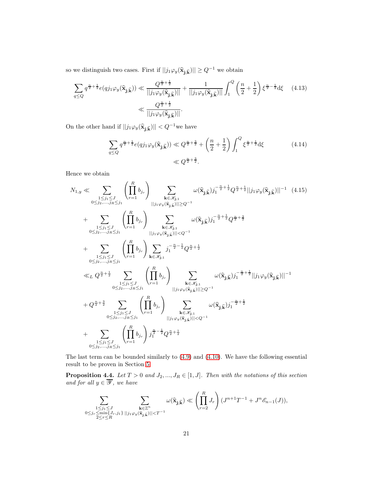so we distinguish two cases. First if  $||j_1\varphi_y(\widehat{\mathbf{x}}_{\mathbf{j};\widehat{\mathbf{k}}})|| \geq Q^{-1}$  we obtain

$$
\sum_{q\leq Q} q^{\frac{n}{2}+\frac{1}{2}} e(qj_1\varphi_y(\widehat{\mathbf{x}}_{\mathbf{j};\widehat{\mathbf{k}}})) \ll \frac{Q^{\frac{n}{2}+\frac{1}{2}}}{||j_1\varphi_y(\widehat{\mathbf{x}}_{\mathbf{j};\widehat{\mathbf{k}}})||} + \frac{1}{||j_1\varphi_y(\widehat{\mathbf{x}}_{\mathbf{j};\widehat{\mathbf{k}}})||} \int_1^Q \left(\frac{n}{2}+\frac{1}{2}\right) \xi^{\frac{n}{2}-\frac{1}{2}} d\xi \quad (4.13)
$$

$$
\ll \frac{Q^{\frac{n}{2}+\frac{1}{2}}}{||j_1\varphi_y(\widehat{\mathbf{x}}_{\mathbf{j};\widehat{\mathbf{k}}})||}.
$$

On the other hand if  $||j_1\varphi_y(\widehat{\mathbf{x}}_{\mathbf{j};\widehat{\mathbf{k}}})|| < Q^{-1}$  we have

<span id="page-20-1"></span>
$$
\sum_{q \le Q} q^{\frac{n}{2} + \frac{1}{2}} e(qj_1 \varphi_y(\hat{\mathbf{x}}_{\mathbf{j};\hat{\mathbf{k}}})) \ll Q^{\frac{n}{2} + \frac{3}{2}} + \left(\frac{n}{2} + \frac{1}{2}\right) \int_1^Q \xi^{\frac{n}{2} + \frac{1}{2}} d\xi
$$
(4.14)  

$$
\ll Q^{\frac{n}{2} + \frac{3}{2}}.
$$

Hence we obtain

$$
N_{1,y} \ll \sum_{\substack{1 \leq j_1 \leq J \\ 0 \leq j_2, \ldots, j_R \leq j_1}} \left( \prod_{r=1}^{R} b_{j_r} \right) \sum_{\substack{\mathbf{k} \in \mathcal{K}_{j,1} \\ |\mathbf{j}_1 \varphi_{\vartheta}(\hat{\mathbf{x}}_{j,\hat{\mathbf{k}}})| \geq Q^{-1}}} \omega(\hat{\mathbf{x}}_{j,\hat{\mathbf{k}}}) j_1^{-\frac{n}{2} + \frac{1}{2}} Q^{\frac{n}{2} + \frac{1}{2}} ||j_1 \varphi_{\vartheta}(\hat{\mathbf{x}}_{j,\hat{\mathbf{k}}})||^{-1} (4.15)
$$
\n
$$
+ \sum_{\substack{1 \leq j_1 \leq J \\ 0 \leq j_2, \ldots, j_R \leq j_1}} \left( \prod_{r=1}^{R} b_{j_r} \right) \sum_{\substack{\mathbf{k} \in \mathcal{K}_{j,1} \\ |\mathbf{j}_1 \varphi_{\vartheta}(\hat{\mathbf{x}}_{j,\hat{\mathbf{k}}})| < Q^{-1}} \omega(\hat{\mathbf{x}}_{j,\hat{\mathbf{k}}}) j_1^{-\frac{n}{2} + \frac{1}{2}} Q^{\frac{n}{2} + \frac{3}{2}}
$$
\n
$$
+ \sum_{\substack{1 \leq j_1 \leq J \\ 0 \leq j_2, \ldots, j_R \leq j_1}} \left( \prod_{r=1}^{R} b_{j_r} \right) \sum_{\substack{\mathbf{k} \in \mathcal{K}_{j,1} \\ |\mathbf{j}_1 \varphi_{\vartheta}(\hat{\mathbf{x}}_{j,\hat{\mathbf{k}}})| \geq Q^{-1}} \omega(\hat{\mathbf{x}}_{j,\hat{\mathbf{k}}}) j_1^{-\frac{n}{2} + \frac{1}{2}} ||j_1 \varphi_{\vartheta}(\hat{\mathbf{x}}_{j,\hat{\mathbf{k}}})||^{-1}
$$
\n
$$
+ Q^{\frac{n}{2} + \frac{3}{2}} \sum_{\substack{1 \leq j_1 \leq J \\ 0 \leq j_2, \ldots, j_R \leq j_1}} \left( \prod_{r=1}^{R} b_{j_r} \right) \sum_{\substack{\mathbf{k} \in \mathcal{K}_{j,1} \\ |\mathbf{j}_1 \varphi_{\vartheta}(\hat{\mathbf{x}}_{j,\hat{\mathbf{k}}})|
$$

The last term can be bounded similarly to [\(4.9\)](#page-16-1) and [\(4.10\)](#page-18-0). We have the following essential result to be proven in Section [5.](#page-22-0)

<span id="page-20-0"></span>**Proposition 4.4.** Let  $T > 0$  and  $J_2, ..., J_R \in [1, J]$ . Then with the notations of this section and for all  $y \in \overline{\mathscr{Y}}$ , we have

$$
\sum_{\substack{1 \leq j_1 \leq J \\ 0 \leq j_r \leq \min\{J_r,j_1\} \\ 2 \leq r \leq R}} \sum_{\substack{\mathbf{k} \in \mathbb{Z}^n \\ \mathbf{k} \in \mathbb{Z}^n}} \omega(\widehat{\mathbf{x}}_{\mathbf{j};\widehat{\mathbf{k}}}) \ll \left(\prod_{r=2}^R J_r\right) (J^{n+1}T^{-1} + J^n \mathscr{E}_{n-1}(J)),
$$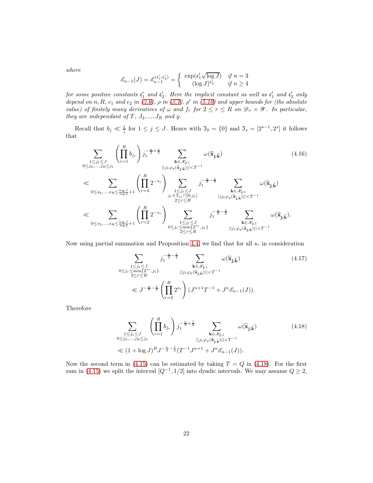where

$$
\mathcal{E}_{n-1}(J) = \mathcal{E}_{n-1}^{(\mathfrak{c}'_1; \mathfrak{c}'_2)} = \begin{cases} \exp(\mathfrak{c}'_1 \sqrt{\log J}) & \text{if } n = 3\\ (\log J)^{\mathfrak{c}'_2} & \text{if } n \ge 4 \end{cases}
$$

for some positive constants  $\mathfrak{c}'_1$  and  $\mathfrak{c}'_2$ . Here the implicit constant as well as  $\mathfrak{c}'_1$  and  $\mathfrak{c}'_2$  only depend on n, R,  $c_1$  and  $c_2$  in [\(3.6\)](#page-8-1),  $\rho$  in [\(3.7\)](#page-8-0),  $\rho'$  in [\(5.10\)](#page-24-0) and upper bounds for (the absolute value) of finitely many derivatives of  $\omega$  and  $f_r$  for  $2 \le r \le R$  on  $\mathscr{D}_+ \times \mathscr{Y}$ . In particular, they are independant of  $T, J_2, ..., J_R$  and y.

Recall that  $b_j \ll \frac{1}{j}$  for  $1 \leq j \leq J$ . Hence with  $\mathfrak{I}_0 = \{0\}$  and  $\mathfrak{I}_s = [2^{s-1}, 2^s]$  it follows that

$$
\sum_{\substack{1 \le j_1 \le J \\ 0 \le j_2, \dots, j_R \le j_1}} \left( \prod_{r=1}^R b_{j_r} \right) j_1^{-\frac{n}{2} + \frac{1}{2}} \sum_{\substack{\mathbf{k} \in \mathcal{K}_{j;1} \\ ||j_1 \varphi_y(\hat{\mathbf{x}}_{j;\hat{\mathbf{k}}})|| < T^{-1}}} \omega(\hat{\mathbf{x}}_{j;\hat{\mathbf{k}}}) \qquad (4.16)
$$
\n
$$
\ll \sum_{0 \le s_2, \dots, s_R \le \frac{\log J}{\log 2} + 1} \left( \prod_{r=2}^R 2^{-s_r} \right) \sum_{\substack{1 \le j_1 \le J \\ j_r \in \mathcal{I}_{s_r} \cap [0, j_1] \\ 2 \le r \le R}} j_1^{-\frac{n}{2} - \frac{1}{2}} \sum_{\substack{\mathbf{k} \in \mathcal{K}_{j;1} \\ ||j_1 \varphi_y(\hat{\mathbf{x}}_{j;\hat{\mathbf{k}}})|| < T^{-1}}} \omega(\hat{\mathbf{x}}_{j;\hat{\mathbf{k}}})
$$
\n
$$
\ll \sum_{0 \le s_2, \dots, s_R \le \frac{\log J}{\log 2} + 1} \left( \prod_{r=2}^R 2^{-s_r} \right) \sum_{\substack{1 \le j_1 \le J \\ 0 \le j_r \le \min\{2^{s_r}, j_1\} \\ 2 \le r \le R}} j_1^{-\frac{n}{2} - \frac{1}{2}} \sum_{\substack{\mathbf{k} \in \mathcal{K}_{j;1} \\ \mathbf{k} \in \mathcal{K}_{j;1} \\ ||j_1 \varphi_y(\hat{\mathbf{x}}_{j;\hat{\mathbf{k}}})|| < T^{-1}}} \omega(\hat{\mathbf{x}}_{j;\hat{\mathbf{k}}}).
$$
\n(4.16)

Now using partial summation and Proposition [4.4,](#page-20-0) we find that for all  $s_r$  in consideration

$$
\sum_{\substack{1 \le j_1 \le J \\ 0 \le j_r \le \min\{2^{s_r}, j_1\} \\ 2 \le r \le R}} j_1^{-\frac{n}{2} - \frac{1}{2}} \sum_{\substack{\mathbf{k} \in \mathcal{K}_{j,1} \\ ||j_1 \varphi_y(\hat{\mathbf{x}}_{j,\hat{\mathbf{k}}})|| < T^{-1} \\ \ll J^{-\frac{n}{2} - \frac{1}{2}} \left( \prod_{r=2}^R 2^{s_r} \right) (J^{n+1} T^{-1} + J^n \mathcal{E}_{n-1}(J)).
$$
\n(4.17)

Therefore

<span id="page-21-0"></span>
$$
\sum_{\substack{1 \le j_1 \le J \\ 0 \le j_2, \dots, j_R \le j_1}} \left( \prod_{r=1}^R b_{j_r} \right) j_1^{-\frac{n}{2} + \frac{1}{2}} \sum_{\substack{\mathbf{k} \in \mathcal{K}_{j,1} \\ ||j_1 \varphi_y(\hat{\mathbf{x}}_{j,\hat{\mathbf{k}}})|| < T^{-1}}} \omega(\hat{\mathbf{x}}_{j,\hat{\mathbf{k}}})
$$
(4.18)  

$$
\ll (1 + \log J)^R J^{-\frac{n}{2} - \frac{1}{2}} (T^{-1} J^{n+1} + J^n \mathcal{E}_{n-1}(J)).
$$

Now the second term in [\(4.15\)](#page-20-1) can be estimated by taking  $T = Q$  in [\(4.18\)](#page-21-0). For the first sum in [\(4.15\)](#page-20-1) we split the interval  $[Q^{-1}, 1/2]$  into dyadic intervals. We may assume  $Q \geq 2$ ,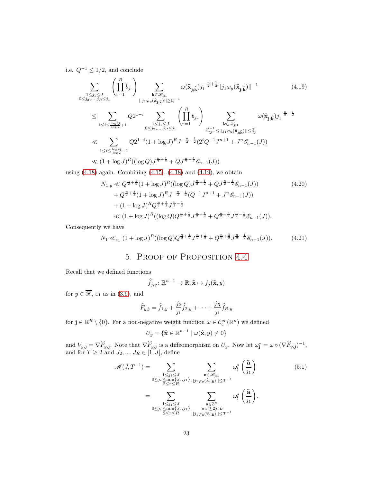i.e.  $Q^{-1} \leq 1/2$ , and conclude

<span id="page-22-1"></span>
$$
\sum_{\substack{1 \le j_1 \le J \\ 0 \le j_2, \dots, j_R \le j_1}} \left( \prod_{r=1}^R b_{j_r} \right) \sum_{\substack{\mathbf{k} \in \mathcal{K}_{\mathbf{j}:1} \\ ||j_1 \varphi_y(\widehat{\mathbf{x}}_{\mathbf{j};\widehat{\mathbf{k}}})|| \ge Q^{-1} \\ ||j_1 \varphi_y(\widehat{\mathbf{x}}_{\mathbf{j};\widehat{\mathbf{k}}})|| \ge Q^{-1}}} \omega(\widehat{\mathbf{x}}_{\mathbf{j};\widehat{\mathbf{k}}})|j_1^{-\frac{n}{2} + \frac{1}{2}} ||j_1 \varphi_y(\widehat{\mathbf{x}}_{\mathbf{j};\widehat{\mathbf{k}}})||^{-1} \qquad (4.19)
$$
\n
$$
\le \sum_{1 \le i \le \frac{\log Q}{\log 2} + 1} Q 2^{1 - i} \sum_{\substack{1 \le j_1 \le J \\ 0 \le j_2, \dots, j_R \le j_1}} \left( \prod_{r=1}^R b_{j_r} \right) \sum_{\substack{\mathbf{z}^i - 1 \\ 2^{i-1} \le ||j_1 \varphi_y(\widehat{\mathbf{x}}_{\mathbf{j};\widehat{\mathbf{k}}})|| \le 2^i \\ \le \sum_{1 \le j \le \frac{\log Q}{\log 2} + 1} Q 2^{1 - i} (1 + \log J)^R J^{-\frac{n}{2} - \frac{1}{2}} (2^i Q^{-1} J^{n+1} + J^n \mathcal{E}_{n-1}(J))
$$
\n
$$
\le (1 + \log J)^R ((\log Q) J^{\frac{n}{2} + \frac{1}{2}} + Q J^{\frac{n}{2} - \frac{1}{2}} \mathcal{E}_{n-1}(J))
$$

using  $(4.18)$  again. Combining  $(4.15)$ ,  $(4.18)$  and  $(4.19)$ , we obtain

$$
N_{1,y} \ll Q^{\frac{n}{2} + \frac{1}{2}} (1 + \log J)^R ((\log Q) J^{\frac{n}{2} + \frac{1}{2}} + Q J^{\frac{n}{2} - \frac{1}{2}} \mathcal{E}_{n-1}(J))
$$
(4.20)  
+  $Q^{\frac{n}{2} + \frac{3}{2}} (1 + \log J)^R J^{-\frac{n}{2} - \frac{1}{2}} (Q^{-1} J^{n+1} + J^n \mathcal{E}_{n-1}(J))$   
+  $(1 + \log J)^R Q^{\frac{n}{2} + \frac{1}{2}} J^{\frac{n}{2} - \frac{1}{2}}$   
 $\ll (1 + \log J)^R ((\log Q) Q^{\frac{n}{2} + \frac{1}{2}} J^{\frac{n}{2} + \frac{1}{2}} + Q^{\frac{n}{2} + \frac{3}{2}} J^{\frac{n}{2} - \frac{1}{2}} \mathcal{E}_{n-1}(J)).$ 

<span id="page-22-0"></span>Consequently we have

<span id="page-22-3"></span>
$$
N_1 \ll_{\varepsilon_1} (1 + \log J)^R ((\log Q) Q^{\frac{n}{2} + \frac{1}{2}} J^{\frac{n}{2} + \frac{1}{2}} + Q^{\frac{n}{2} + \frac{3}{2}} J^{\frac{n}{2} - \frac{1}{2}} \mathcal{E}_{n-1}(J)). \tag{4.21}
$$

### 5. Proof of Proposition [4.4](#page-20-0)

Recall that we defined functions

$$
\widehat{f}_{j,y} \colon \mathbb{R}^{n-1} \to \mathbb{R}, \widehat{\mathbf{x}} \mapsto f_j(\widehat{\mathbf{x}}, y)
$$

for  $y \in \overline{\mathscr{Y}}$ ,  $\varepsilon_1$  as in [\(3.6\)](#page-8-1), and

$$
\widehat{F}_{y, \mathbf{j}} = \widehat{f}_{1,y} + \frac{j_2}{j_1} \widehat{f}_{2,y} + \dots + \frac{j_R}{j_1} \widehat{f}_{R,y}
$$

for  $\mathbf{j} \in \mathbb{R}^R \setminus \{0\}$ . For a non-negative weight function  $\omega \in C_c^{\infty}(\mathbb{R}^n)$  we defined

<span id="page-22-2"></span>
$$
U_y = \{ \widehat{\mathbf{x}} \in \mathbb{R}^{n-1} \mid \omega(\widehat{\mathbf{x}}, y) \neq 0 \}
$$

and  $V_{y, \mathbf{j}} = \nabla \widehat{F}_{y, \mathbf{j}}$ . Note that  $\nabla \widehat{F}_{y, \mathbf{j}}$  is a diffeomorphism on  $U_y$ . Now let  $\omega_{\mathbf{j}}^* = \omega \circ (\nabla \widehat{F}_{y, \mathbf{j}})^{-1}$ , and for  $T \geq 2$  and  $J_2, ..., J_R \in [1, J]$ , define

$$
\mathcal{M}(J,T^{-1}) = \sum_{\substack{1 \leq j_1 \leq J \\ 0 \leq j_r \leq \min\{J_r, j_1\} \\ 2 \leq r \leq R}} \sum_{\substack{\mathbf{a} \in \mathcal{K}_{j_11} \\ \mathbf{a} \in \mathcal{K}_{j_11} \\ \mathbf{a} \in \mathcal{Z}^{n} \\ 2 \leq r \leq R}} \omega_j^* \left(\frac{\mathbf{\hat{a}}}{j_1}\right)
$$
(5.1)  

$$
= \sum_{\substack{1 \leq j_1 \leq J \\ 0 \leq j_r \leq \min\{J_r, j_1\} \\ 2 \leq r \leq R}} \sum_{\substack{\mathbf{a} \in \mathbb{Z}^n \\ |a_n| \leq 2j_1 L \\ ||j_1 \varphi_y(\mathbf{\hat{x}}_{j, \hat{\mathbf{a}}})|| \leq T^{-1}}} \omega_j^* \left(\frac{\mathbf{\hat{a}}}{j_1}\right).
$$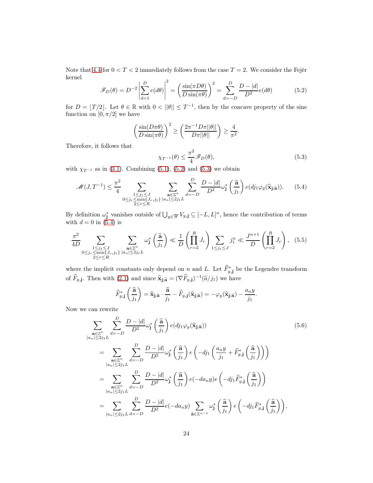Note that [4.4](#page-20-0) for  $0 < T < 2$  immediately follows from the case  $T = 2$ . We consider the Fejér kernel  $\overline{a}$ 

<span id="page-23-0"></span>
$$
\mathscr{F}_D(\theta) = D^{-2} \left| \sum_{d=1}^D e(d\theta) \right|^2 = \left( \frac{\sin(\pi D\theta)}{D \sin(\pi \theta)} \right)^2 = \sum_{d=-D}^D \frac{D - |d|}{D^2} e(d\theta) \tag{5.2}
$$

for  $D = \lfloor T/2 \rfloor$ . Let  $\theta \in \mathbb{R}$  with  $0 < ||\theta|| \leq T^{-1}$ , then by the concave property of the sine function on  $[0, \pi/2]$  we have

$$
\left(\frac{\sin(D\pi\theta)}{D\sin(\pi\theta)}\right)^2 \ge \left(\frac{2\pi^{-1}D\pi||\theta||}{D\pi||\theta||}\right) \ge \frac{4}{\pi^2}.
$$

Therefore, it follows that

<span id="page-23-1"></span>
$$
\chi_{T^{-1}}(\theta) \le \frac{\pi^2}{4} \mathscr{F}_D(\theta),\tag{5.3}
$$

with  $\chi_{T^{-1}}$  as in [\(3.1\)](#page-6-2). Combining [\(5.1\)](#page-22-2), [\(5.2\)](#page-23-0) and [\(5.3\)](#page-23-1) we obtain

<span id="page-23-2"></span>
$$
\mathcal{M}(J,T^{-1}) \leq \frac{\pi^2}{4} \sum_{\substack{1 \leq j_1 \leq J \\ 0 \leq j_r \leq \min\{J_r, j_1\} \\ 2 \leq r \leq R}} \sum_{\substack{\mathbf{a} \in \mathbb{Z}^n \\ a = -D}} \sum_{d = -D}^D \frac{D - |d|}{D^2} \omega_j^* \left(\frac{\hat{\mathbf{a}}}{j_1}\right) e(dj_1 \varphi_y(\hat{\mathbf{x}}_{\mathbf{j};\hat{\mathbf{a}})}). \tag{5.4}
$$

By definition  $\omega_j^*$  vanishes outside of  $\bigcup_{y \in \overline{\mathscr{Y}}} V_{y,j} \subseteq [-L, L]^n$ , hence the contribution of terms with  $d = 0$  in  $(5.4)$  is

$$
\frac{\pi^2}{4D} \sum_{\substack{1 \le j_1 \le J \\ 0 \le j_r \le \min\{J_r, j_1\} \\ 2 \le r \le R}} \sum_{\substack{\mathbf{a} \in \mathbb{Z}^n \\ \mathbf{a} \mid l \le 2j_1 L}} \omega_j^* \left(\frac{\widehat{\mathbf{a}}}{j_1}\right) \ll \frac{1}{D} \left(\prod_{r=2}^R J_r\right) \sum_{1 \le j_1 \le J} j_1^n \ll \frac{J^{n+1}}{D} \left(\prod_{r=2}^R J_r\right), \quad (5.5)
$$

where the implicit constants only depend on n and L. Let  $\widehat{F}_{y, j}^*$  be the Legendre transform of  $\hat{F}_{y, \mathbf{j}}$ . Then with [\(2.1\)](#page-5-4) and since  $\hat{\mathbf{x}}_{\mathbf{j};\hat{\mathbf{a}}} = (\nabla \hat{F}_{y, \mathbf{j}})^{-1}(\hat{a}/j_1)$  we have

$$
\widehat{F}_{y,\mathbf{j}}^* \left( \frac{\widehat{\mathbf{a}}}{j_1} \right) = \widehat{\mathbf{x}}_{\mathbf{j};\widehat{\mathbf{a}}} \cdot \frac{\widehat{\mathbf{a}}}{j_1} - \widehat{F}_{y,\mathbf{j}}(\widehat{\mathbf{x}}_{\mathbf{j};\widehat{\mathbf{a}}}) = -\varphi_y(\widehat{\mathbf{x}}_{\mathbf{j};\widehat{\mathbf{a}}}) - \frac{a_n y}{j_1}.
$$

Now we can rewrite

$$
\sum_{\substack{\mathbf{a}\in\mathbb{Z}^n\\|a_n|\leq 2j_1L}}\sum_{d=-D}^{D} \frac{D-|d|}{D^2} \omega_{\mathbf{j}}^* \left(\frac{\hat{\mathbf{a}}}{j_1}\right) e(dj_1\varphi_y(\hat{\mathbf{x}}_{\mathbf{j};\hat{\mathbf{a}}}))\n= \sum_{\substack{\mathbf{a}\in\mathbb{Z}^n\\|a_n|\leq 2j_1L}}\sum_{d=-D}^{D} \frac{D-|d|}{D^2} \omega_{\mathbf{j}}^* \left(\frac{\hat{\mathbf{a}}}{j_1}\right) e\left(-dj_1\left(\frac{a_ny}{j_1}+\hat{F}_{y,\mathbf{j}}^*\left(\frac{\hat{\mathbf{a}}}{j_1}\right)\right)\right)\n= \sum_{\substack{\mathbf{a}\in\mathbb{Z}^n\\|a_n|\leq 2j_1L}}\sum_{d=-D}^{D} \frac{D-|d|}{D^2} \omega_{\mathbf{j}}^* \left(\frac{\hat{\mathbf{a}}}{j_1}\right) e(-da_ny) e\left(-dj_1\hat{F}_{y,\mathbf{j}}^*\left(\frac{\hat{\mathbf{a}}}{j_1}\right)\right)\n= \sum_{\substack{|a_n|\leq 2j_1L}}\sum_{d=-D}^{D} \frac{D-|d|}{D^2} e(-da_ny) \sum_{\hat{\mathbf{a}}\in\mathbb{Z}^{n-1}} \omega_{\mathbf{j}}^* \left(\frac{\hat{\mathbf{a}}}{j_1}\right) e\left(-dj_1\hat{F}_{y,\mathbf{j}}^*\left(\frac{\hat{\mathbf{a}}}{j_1}\right)\right),
$$
\n(5.6)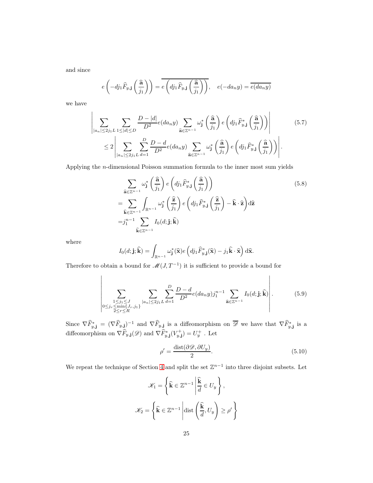and since

$$
e\left(-dj_1\widehat{F}_{y,\mathbf{j}}\left(\frac{\widehat{\mathbf{a}}}{j_1}\right)\right) = e\left(dj_1\widehat{F}_{y,\mathbf{j}}\left(\frac{\widehat{\mathbf{a}}}{j_1}\right)\right), \quad e(-da_ny) = \overline{e(da_ny)}
$$

we have

$$
\left| \sum_{|a_n| \le 2j_1 L} \sum_{1 \le |d| \le D} \frac{D - |d|}{D^2} e(da_n y) \sum_{\widehat{\mathbf{a}} \in \mathbb{Z}^{n-1}} \omega_j^* \left(\frac{\widehat{\mathbf{a}}}{j_1}\right) e\left(dy_1 \widehat{F}_{y, \mathbf{j}}^* \left(\frac{\widehat{\mathbf{a}}}{j_1}\right)\right) \right|
$$
\n
$$
\le 2 \left| \sum_{|a_n| \le 2j_1 L} \sum_{d=1}^D \frac{D - d}{D^2} e(da_n y) \sum_{\widehat{\mathbf{a}} \in \mathbb{Z}^{n-1}} \omega_j^* \left(\frac{\widehat{\mathbf{a}}}{j_1}\right) e\left(dy_1 \widehat{F}_{y, \mathbf{j}}^* \left(\frac{\widehat{\mathbf{a}}}{j_1}\right)\right) \right|.
$$
\n(5.7)

Applying the n-dimensional Poisson summation formula to the inner most sum yields

$$
\sum_{\widehat{\mathbf{a}} \in \mathbb{Z}^{n-1}} \omega_{\mathbf{j}}^{*} \left( \frac{\widehat{\mathbf{a}}}{j_{1}} \right) e\left( dj_{1} \widehat{F}_{y,\mathbf{j}}^{*} \left( \frac{\widehat{\mathbf{a}}}{j_{1}} \right) \right)
$$
\n
$$
= \sum_{\widehat{\mathbf{k}} \in \mathbb{Z}^{n-1}} \int_{\mathbb{R}^{n-1}} \omega_{\mathbf{j}}^{*} \left( \frac{\widehat{\mathbf{z}}}{j_{1}} \right) e\left( dj_{1} \widehat{F}_{y,\mathbf{j}}^{*} \left( \frac{\widehat{\mathbf{z}}}{j_{1}} \right) - \widehat{\mathbf{k}} \cdot \widehat{\mathbf{z}} \right) d\widehat{\mathbf{z}}
$$
\n
$$
= j_{1}^{n-1} \sum_{\widehat{\mathbf{k}} \in \mathbb{Z}^{n-1}} I_{0}(d; \mathbf{j}; \widehat{\mathbf{k}})
$$
\n(5.8)

where

$$
I_0(d; \mathbf{j}; \widehat{\mathbf{k}}) = \int_{\mathbb{R}^{n-1}} \omega_{\mathbf{j}}^*(\widehat{\mathbf{x}}) e\left(dj_1 \widehat{F}_{y,\mathbf{j}}^*(\widehat{\mathbf{x}}) - j_1 \widehat{\mathbf{k}} \cdot \widehat{\mathbf{x}}\right) d\widehat{\mathbf{x}}.
$$

Therefore to obtain a bound for  $\mathcal{M}(J, T^{-1})$  it is sufficient to provide a bound for

$$
\left| \sum_{\substack{1 \le j_1 \le J \\ 0 \le j_r \le \min\{J_r, j_1\} \\ 2 \le r \le R}} \sum_{|a_n| \le 2j_1} \sum_{L} \frac{D - d}{D^2} e(da_n y) j_1^{n-1} \sum_{\mathbf{\hat{a}} \in \mathbb{Z}^{n-1}} I_0(d; \mathbf{j}; \mathbf{\hat{k}}) \right|.
$$
(5.9)

Since  $\nabla \widehat{F}_{y,\mathbf{j}}^* = (\nabla \widehat{F}_{y,\mathbf{j}})^{-1}$  and  $\nabla \widehat{F}_{y,\mathbf{j}}$  is a diffeomorphism on  $\overline{\mathscr{D}}$  we have that  $\nabla \widehat{F}_{y,\mathbf{j}}^*$  is a diffeomorphism on  $\nabla \widehat{F}_{y, \mathbf{j}}(\mathcal{D})$  and  $\nabla \widehat{F}_{y, \mathbf{j}}^*(V_{y, \mathbf{j}}^+) = U_y^+$ . Let

<span id="page-24-0"></span>
$$
\rho' = \frac{\text{dist}(\partial \mathcal{D}, \partial U_y)}{2}.
$$
\n(5.10)

We repeat the technique of Section [4](#page-10-0) and split the set  $\mathbb{Z}^{n-1}$  into three disjoint subsets. Let

$$
\mathcal{K}_1 = \left\{ \hat{\mathbf{k}} \in \mathbb{Z}^{n-1} \middle| \frac{\hat{\mathbf{k}}}{d} \in U_y \right\},\
$$

$$
\mathcal{K}_2 = \left\{ \hat{\mathbf{k}} \in \mathbb{Z}^{n-1} \middle| \text{dist}\left(\frac{\hat{\mathbf{k}}}{d}, U_y\right) \ge \rho' \right\}
$$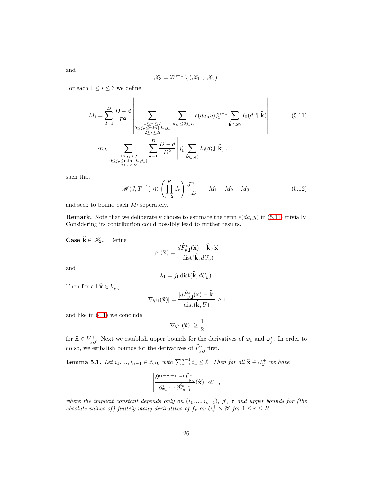<span id="page-25-0"></span>
$$
\mathscr{K}_3=\mathbb{Z}^{n-1}\setminus(\mathscr{K}_1\cup\mathscr{K}_2).
$$

For each  $1\leq i\leq 3$  we define

$$
M_{i} = \sum_{d=1}^{D} \frac{D-d}{D^{2}} \left| \sum_{\substack{1 \leq j_{1} \leq J \\ 0 \leq j_{r} \leq \min\{J_{r}, j_{1} \\ 2 \leq r \leq R}} \sum_{|a_{n}| \leq 2j_{1}L} e(da_{n}y)j_{1}^{n-1} \sum_{\hat{\mathbf{k}} \in \mathcal{K}_{i}} I_{0}(d; \mathbf{j}; \hat{\mathbf{k}}) \right|
$$
(5.11)  

$$
\ll_{L} \sum_{\substack{1 \leq j_{1} \leq J \\ 0 \leq j_{r} \leq \min\{J_{r}, j_{1}\}} \sum_{d=1}^{D} \frac{D-d}{D^{2}} \left| j_{1}^{n} \sum_{\hat{\mathbf{k}} \in \mathcal{K}_{i}} I_{0}(d; \mathbf{j}; \hat{\mathbf{k}}) \right|,
$$

such that

<span id="page-25-2"></span>
$$
\mathcal{M}(J, T^{-1}) \ll \left(\prod_{r=2}^{R} J_r\right) \frac{J^{n+1}}{D} + M_1 + M_2 + M_3,\tag{5.12}
$$

and seek to bound each  $M_i$  seperately.

**Remark.** Note that we deliberately choose to estimate the term  $e(da_n y)$  in [\(5.11\)](#page-25-0) trivially. Considering its contribution could possibly lead to further results.

**Case**  $\hat{\mathbf{k}} \in \mathcal{K}_2$ . Define

$$
\varphi_1(\widehat{\mathbf{x}}) = \frac{d\widehat{F}_{y,\mathbf{j}}^*(\widehat{\mathbf{x}}) - \widehat{\mathbf{k}} \cdot \widehat{\mathbf{x}}}{\text{dist}(\widehat{\mathbf{k}}, dU_y)}
$$

and

$$
\lambda_1 = j_1 \operatorname{dist}(\mathbf{k}, dU_y).
$$

Then for all  $\widehat{\mathbf{x}} \in V_{y, \mathbf{j}}$ 

$$
|\nabla \varphi_1(\widehat{\mathbf{x}})| = \frac{|d\widehat{F}_{y,\mathbf{j}}^*(\mathbf{x}) - \widehat{\mathbf{k}}|}{\text{dist}(\widehat{\mathbf{k}}, U)} \ge 1
$$

and like in [\(4.1\)](#page-11-1) we conclude

$$
|\nabla \varphi_1(\widehat{\mathbf{x}})| \ge \frac{1}{2}
$$

for  $\hat{\mathbf{x}} \in V_{y, \mathbf{j}}^+$ . Next we establish upper bounds for the derivatives of  $\varphi_1$  and  $\omega_{\mathbf{j}}^*$ . In order to do so, we estbalish bounds for the derivatives of  $\widehat{F}_{y, \mathbf{j}}^*$  first.

<span id="page-25-1"></span>**Lemma 5.1.** Let  $i_1, ..., i_{n-1} \in \mathbb{Z}_{\geq 0}$  with  $\sum_{\mu=1}^{n-1} i_{\mu} \leq \ell$ . Then for all  $\hat{\mathbf{x}} \in U_y^+$  we have

$$
\left|\frac{\partial^{i_1+\cdots+i_{n-1}}\widehat{F}_{y,\mathbf{j}}^*}{\partial_{x_1}^{i_1}\cdots\partial_{x_{n-1}}^{i_{n-1}}}(\widehat{\mathbf{x}})\right|\ll 1,
$$

where the implicit constant depends only on  $(i_1, ..., i_{n-1})$ ,  $\rho'$ ,  $\tau$  and upper bounds for (the absolute values of) finitely many derivatives of  $f_r$  on  $U_y^+ \times \mathscr{Y}$  for  $1 \leq r \leq R$ .

and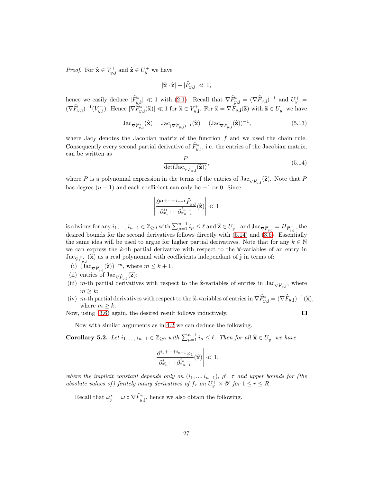*Proof.* For  $\hat{\mathbf{x}} \in V_{y, \mathbf{j}}^{+}$  and  $\hat{\mathbf{z}} \in U_{y}^{+}$  we have

$$
|\hat{\mathbf{x}}\cdot\hat{\mathbf{z}}|+|\widehat{F}_{y,\mathbf{j}}|\ll 1,
$$

hence we easily deduce  $|\hat{F}_{y,\mathbf{j}}^*| \ll 1$  with [\(2.1\)](#page-5-4). Recall that  $\nabla \hat{F}_{y,\mathbf{j}}^* = (\nabla \hat{F}_{y,\mathbf{j}})^{-1}$  and  $U_y^+ =$  $(\nabla \widehat{F}_{y, \mathbf{j}})^{-1}(V_{y, \mathbf{j}}^+)$ . Hence  $|\nabla \widehat{F}_{y, \mathbf{j}}^*(\widehat{\mathbf{x}})| \ll 1$  for  $\widehat{\mathbf{x}} \in V_{y, \mathbf{j}}^+$ . For  $\widehat{\mathbf{x}} = \nabla \widehat{F}_{y, \mathbf{j}}(\widehat{\mathbf{z}})$  with  $\widehat{\mathbf{z}} \in U_y^+$  we have

$$
\operatorname{Jac}_{\nabla \widehat{F}_{y,\mathbf{j}}}(\widehat{\mathbf{x}}) = \operatorname{Jac}_{(\nabla \widehat{F}_{y,\mathbf{j}})^{-1}}(\widehat{\mathbf{x}}) = (\operatorname{Jac}_{\nabla \widehat{F}_{y,\mathbf{j}}}(\widehat{\mathbf{z}}))^{-1},\tag{5.13}
$$

where  $Jac_f$  denotes the Jacobian matrix of the function f and we used the chain rule. Consequently every second partial derivative of  $\widehat{F}_{y, j}^*$ , i.e. the entries of the Jacobian matrix, can be written as

<span id="page-26-0"></span>
$$
\frac{P}{\det(\text{Jac}_{\nabla \widehat{F}_{y,\mathbf{j}}}(\widehat{\mathbf{z}}))},\tag{5.14}
$$

where P is a polynomial expression in the terms of the entries of  $\text{Jac}_{\nabla \widehat{F}_{y,\mathbf{j}}}(\widehat{\mathbf{z}})$ . Note that P has degree  $(n - 1)$  and each coefficient can only be  $\pm 1$  or 0. Since

$$
\left| \frac{\partial^{i_1+\dots+i_{n-1}} \widehat{F}_{y,\mathbf{j}}}{\partial_{x_1}^{i_1} \cdots \partial_{x_{n-1}}^{i_{n-1}}} (\widehat{\mathbf{z}}) \right| \ll 1
$$

is obvious for any  $i_1, ..., i_{n-1} \in \mathbb{Z}_{\geq 0}$  with  $\sum_{\mu=1}^{n-1} i_{\mu} \leq \ell$  and  $\hat{\mathbf{z}} \in U^+_y$ , and  $\text{Jac}_{\nabla \widehat{F}_{y,j}} = H_{\widehat{F}_{y,j}}$ , the desired bounds for the second derivatives follows directly with [\(5.14\)](#page-26-0) and [\(3.6\)](#page-8-1). Essentially the same idea will be used to argue for higher partial derivatives. Note that for any  $k \in \mathbb{N}$ we can express the k-th partial derivative with respect to the  $\hat{\mathbf{x}}$ -variables of an entry in  $\text{Jac}_{\nabla \widehat{F}^*_{y,\mathbf{j}}}(\widehat{\mathbf{x}})$  as a real polynomial with coefficients independant of  $\mathbf j$  in terms of:

- (i)  $(\text{Jac}_{\nabla \widehat{F}_{y,j}}(\widehat{\mathbf{z}}))^{-m}$ , where  $m \leq k+1$ ;
- (ii) entries of  $\text{Jac}_{\nabla \widehat{F}_{y,\mathbf{j}}}(\widehat{\mathbf{z}});$
- (iii) m-th partial derivatives with respect to the  $\hat{z}$ -variables of entries in Jac<sub>∇ $\hat{F}_{y,j}$ </sub>, where  $m > k$ ;
- (iv) m-th partial derivatives with respect to the  $\hat{\mathbf{x}}$ -variables of entries in  $\nabla \hat{F}_{y, \mathbf{j}}^* = (\nabla \hat{F}_{y, \mathbf{j}})^{-1}(\hat{\mathbf{x}})$ , where  $m > k$ .

Now, using [\(3.6\)](#page-8-1) again, the desired result follows inductively.

$$
\mathbb{I}^{\mathbb{I}}
$$

Now with similar arguments as in [4.2](#page-11-0) we can deduce the following.

 $\overline{\phantom{a}}$  $\overline{\phantom{a}}$  $\overline{\phantom{a}}$  $\overline{\phantom{a}}$  $\overline{\phantom{a}}$ 

<span id="page-26-1"></span>Corollary 5.2. Let  $i_1, ..., i_{n-1} \in \mathbb{Z}_{\geq 0}$  with  $\sum_{\mu=1}^{n-1} i_{\mu} \leq \ell$ . Then for all  $\hat{\mathbf{x}} \in U_y^+$  we have

$$
\left. \frac{\partial^{i_1+\cdots+i_{n-1}}\varphi_1}{\partial_{x_1}^{i_1}\cdots\partial_{x_{n-1}}^{i_{n-1}}}(\widehat{\mathbf{x}})\right| \ll 1,
$$

where the implicit constant depends only on  $(i_1, ..., i_{n-1})$ ,  $\rho'$ ,  $\tau$  and upper bounds for (the absolute values of) finitely many derivatives of  $f_r$  on  $U_y^+ \times \mathscr{Y}$  for  $1 \leq r \leq R$ .

Recall that  $\omega_j^* = \omega \circ \nabla \widehat{F}_{y,j}^*$ , hence we also obtain the following.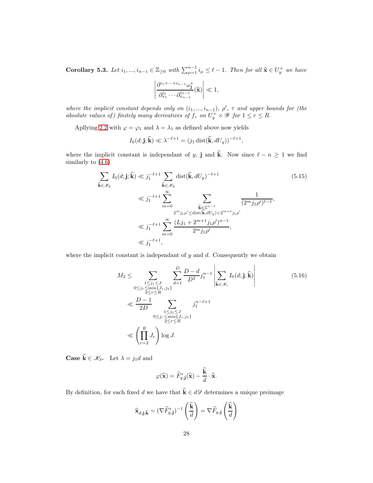Corollary 5.3. Let  $i_1, ..., i_{n-1} \in \mathbb{Z}_{\geq 0}$  with  $\sum_{\mu=1}^{n-1} i_{\mu} \leq \ell - 1$ . Then for all  $\hat{\mathbf{x}} \in U_y^+$  we have

$$
\left| \frac{\partial^{i_1+\cdots+i_{n-1}} \omega_{\mathbf{j}}^*}{\partial_{x_1}^{i_1} \cdots \partial_{x_{n-1}}^{i_{n-1}}} (\widehat{\mathbf{x}}) \right| \ll 1,
$$

where the implicit constant depends only on  $(i_1, ..., i_{n-1})$ ,  $\rho'$ ,  $\tau$  and upper bounds for (the absolute values of) finitely many derivatives of  $f_r$  on  $U_y^+ \times \mathscr{Y}$  for  $1 \leq r \leq R$ .

Apllying [2.2](#page-5-3) with  $\varphi=\varphi_1$  and  $\lambda=\lambda_1$  as defined above now yields

$$
I_0(d; \mathbf{j}; \hat{\mathbf{k}}) \ll \lambda^{-\ell+1} = (j_1 \operatorname{dist}(\hat{\mathbf{k}}, dU_y))^{-\ell+1},
$$

where the implicit constant is independant of y, j and  $\hat{k}$ . Now since  $\ell - n \geq 1$  we find similarly to [\(4.6\)](#page-14-1)

$$
\sum_{\hat{\mathbf{k}} \in \mathcal{K}_2} I_0(d; \mathbf{j}; \hat{\mathbf{k}}) \ll j_1^{-\ell+1} \sum_{\hat{\mathbf{k}} \in \mathcal{K}_2} \text{dist}(\hat{\mathbf{k}}, dU_y)^{-\ell+1}
$$
\n
$$
\ll j_1^{-\ell+1} \sum_{m=0}^{\infty} \sum_{\substack{\hat{\mathbf{k}} \in \mathbb{Z}^{n-1} \\ 2^m j_1 \rho' \le \text{dist}(\hat{\mathbf{k}}, dU_y) < 2^{m+1} j_1 \rho' \\ \ll j_1^{-\ell+1} \sum_{m=0}^{\infty} \frac{(Lj_1 + 2^{m+1}j_1 \rho')^{n-1}}{2^m j_1 \rho'},
$$
\n
$$
\ll j_1^{-\ell+1},
$$
\n
$$
\ll j_1^{-\ell+1},
$$
\n(5.15)

where the implicit constant is independant of  $y$  and  $d$ . Consequently we obtain

$$
M_2 \leq \sum_{\substack{1 \leq j_1 \leq J \\ 0 \leq j_r \leq \min\{J_r, j_1\} \\ 2 \leq r \leq R}} \sum_{d=1}^{D} \frac{D - d}{D^2} j_1^{n-1} \left| \sum_{\widehat{\mathbf{k}} \in \mathcal{K}_i} I_0(d; \mathbf{j}; \widehat{\mathbf{k}}) \right|
$$
(5.16)  

$$
\ll \frac{D - 1}{2D} \sum_{\substack{1 \leq j_1 \leq J \\ 0 \leq j_r \leq \min\{J_r, j_1\} \\ 2 \leq r \leq R}} j_1^{n-\ell+1}
$$
  

$$
\ll \left(\prod_{r=2}^R J_r\right) \log J.
$$

**Case**  $\widehat{\mathbf{k}} \in \mathcal{K}_3$ . Let  $\lambda = j_1d$  and

<span id="page-27-0"></span>
$$
\varphi(\widehat{\mathbf{x}}) = \widehat{F}_{y, \mathbf{j}}^*(\widehat{\mathbf{x}}) - \frac{\widehat{\mathbf{k}}}{d} \cdot \widehat{\mathbf{x}}.
$$

By definition, for each fixed d we have that  $\hat{\mathbf{k}} \in d\mathcal{D}$  determines a unique preimage

$$
\widehat{\mathbf{x}}_{d;\mathbf{j},\widehat{\mathbf{k}}} = (\nabla \widehat{F}_{y,\mathbf{j}}^*)^{-1} \left(\frac{\widehat{\mathbf{k}}}{d}\right) = \nabla \widehat{F}_{y,\mathbf{j}} \left(\frac{\widehat{\mathbf{k}}}{d}\right)
$$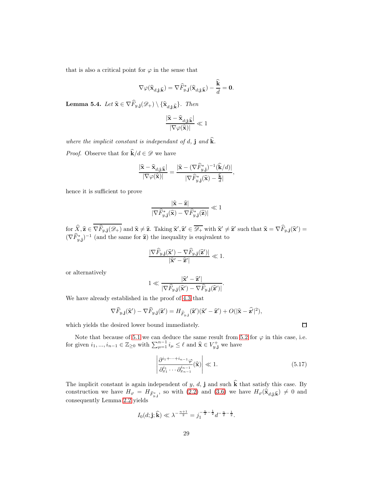that is also a critical point for  $\varphi$  in the sense that

$$
\nabla\varphi(\widehat{\mathbf{x}}_{d;\mathbf{j};\widehat{\mathbf{k}}})=\nabla\widehat{F}_{y,\mathbf{j}}^*(\widehat{\mathbf{x}}_{d;\mathbf{j};\widehat{\mathbf{k}}})-\frac{\mathbf{k}}{d}=\mathbf{0}.
$$

<span id="page-28-0"></span>**Lemma 5.4.** Let  $\hat{\mathbf{x}} \in \nabla \widehat{F}_{y, \mathbf{j}}(\mathscr{D}_+) \setminus {\{\hat{\mathbf{x}}_{d, \mathbf{j}, \hat{\mathbf{k}}}\}}$ . Then

$$
\frac{|\widehat{\mathbf{x}}-\widehat{\mathbf{x}}_{d;\mathbf{j};\widehat{\mathbf{k}}}|}{|\nabla \varphi(\widehat{\mathbf{x}})|}\ll 1
$$

where the implicit constant is independant of d, j and  $\hat{k}$ . *Proof.* Observe that for  $\hat{\mathbf{k}}/d \in \mathcal{D}$  we have

$$
\frac{|\widehat{\mathbf{x}} - \widehat{\mathbf{x}}_{d;\mathbf{j};\widehat{\mathbf{k}}}|}{|\nabla \varphi(\widehat{\mathbf{x}})|} = \frac{|\widehat{\mathbf{x}} - (\nabla \widehat{F}_{y,\mathbf{j}}^*)^{-1}(\widehat{\mathbf{k}}/d)|}{|\nabla \widehat{F}_{y,\mathbf{j}}^*(\widehat{\mathbf{x}}) - \frac{\widehat{\mathbf{k}}}{d}|},
$$

hence it is sufficient to prove

$$
\frac{|\hat{\mathbf{x}} - \hat{\mathbf{z}}|}{|\nabla \widehat{F}_{y, \mathbf{j}}^*(\hat{\mathbf{x}}) - \nabla \widehat{F}_{y, \mathbf{j}}^*(\hat{\mathbf{z}})|} \ll 1
$$

 $\text{for } \hat{X}, \hat{\mathbf{z}} \in \nabla \hat{F}_{y, \mathbf{j}}(\mathscr{D}_+) \text{ and } \hat{\mathbf{x}} \neq \hat{\mathbf{z}}.$  Taking  $\hat{\mathbf{x}}', \hat{\mathbf{z}}' \in \overline{\mathscr{D}_+}$  with  $\hat{\mathbf{x}}' \neq \hat{\mathbf{z}}'$  such that  $\hat{\mathbf{x}} = \nabla \hat{F}_{y, \mathbf{j}}(\hat{\mathbf{x}}') = \hat{\mathbf{z}}' \cdot \hat{\mathbf{z}}'.$  $(\nabla \widehat{F}_{y, \mathbf{j}}^*)^{-1}$  (and the same for  $\widehat{\mathbf{z}}$ ) the inequality is euqivalent to

$$
\frac{|\nabla \widehat{F}_{y,\mathbf{j}}(\widehat{\mathbf{x}}') - \nabla \widehat{F}_{y,\mathbf{j}}(\widehat{\mathbf{z}}')|}{|\widehat{\mathbf{x}}' - \widehat{\mathbf{z}}'|} \ll 1.
$$

or alternatively

$$
1 \ll \frac{|\widehat{\mathbf{x}}' - \widehat{\mathbf{z}}'|}{|\nabla \widehat{F}_{y, \mathbf{j}}(\widehat{\mathbf{x}}') - \nabla \widehat{F}_{y, \mathbf{j}}(\widehat{\mathbf{z}}')|}.
$$

We have already established in the proof of [4.3](#page-16-0) that

$$
\nabla \widehat{F}_{y, \mathbf{j}}(\widehat{\mathbf{x}}') - \nabla \widehat{F}_{y, \mathbf{j}}(\widehat{\mathbf{z}}') = H_{\widehat{F}_{y, \mathbf{j}}}(\widehat{\mathbf{z}}')(\widehat{\mathbf{x}}' - \widehat{\mathbf{z}}') + O(|\widehat{\mathbf{x}} - \widehat{\mathbf{z}}'|^2),
$$

which yields the desired lower bound immediately.

Note that because of [5.1](#page-25-1) we can deduce the same result from [5.2](#page-26-1) for  $\varphi$  in this case, i.e. for given  $i_1, ..., i_{n-1} \in \mathbb{Z}_{\geq 0}$  with  $\sum_{\mu=1}^{n-1} i_{\mu} \leq \ell$  and  $\hat{\mathbf{x}} \in V_{y, \mathbf{j}}^+$  we have

<span id="page-28-1"></span>
$$
\left| \frac{\partial^{i_1 + \dots + i_{n-1}} \varphi}{\partial_{x_1}^{i_1} \dots \partial_{x_{n-1}}^{i_{n-1}}} (\hat{\mathbf{x}}) \right| \ll 1.
$$
 (5.17)

The implicit constant is again independent of y, d, j and such  $\hat{k}$  that satisfy this case. By construction we have  $H_{\varphi} = H_{\widehat{F}_{y,\mathbf{j}}^*}$ , so with [\(2.2\)](#page-5-5) and [\(3.6\)](#page-8-1) we have  $H_{\varphi}(\widehat{\mathbf{x}}_{d;\mathbf{j},\widehat{\mathbf{k}}}) \neq 0$  and consequently Lemma [2.2](#page-5-3) yields

$$
I_0(d; \mathbf{j}; \hat{\mathbf{k}}) \ll \lambda^{-\frac{n+1}{2}} = j_1^{-\frac{n}{2} - \frac{1}{2}} d^{-\frac{n}{2} - \frac{1}{2}}.
$$

 $\Box$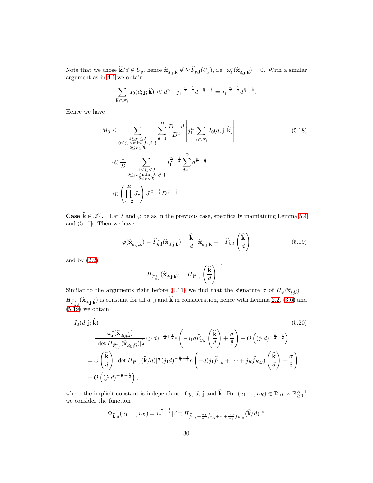Note that we chose  $\hat{\mathbf{k}}/d \notin U_y$ , hence  $\hat{\mathbf{x}}_{d;\mathbf{j};\hat{\mathbf{k}}} \notin \nabla \hat{F}_{y,\mathbf{j}}(U_y)$ , i.e.  $\omega_{\mathbf{j}}^*(\hat{\mathbf{x}}_{d;\mathbf{j};\hat{\mathbf{k}}}) = 0$ . With a similar argument as in [4.1](#page-10-1) we obtain

<span id="page-29-1"></span>
$$
\sum_{\hat{\mathbf{k}} \in \mathcal{K}_3} I_0(d; \mathbf{j}; \hat{\mathbf{k}}) \ll d^{n-1} j_1^{-\frac{n}{2} - \frac{1}{2}} d^{-\frac{n}{2} - \frac{1}{2}} = j_1^{-\frac{n}{2} - \frac{1}{2}} d^{\frac{n}{2} - \frac{3}{2}}.
$$

Hence we have

$$
M_{3} \leq \sum_{\substack{1 \leq j_{1} \leq J \\ 0 \leq j_{r} \leq \min\{J_{r}, j_{1}\} \\ 2 \leq r \leq R}} \sum_{d=1}^{D} \frac{D - d}{D^{2}} \left| j_{1}^{n} \sum_{\hat{\mathbf{k}} \in \mathcal{K}_{i}} I_{0}(d; \mathbf{j}; \hat{\mathbf{k}}) \right|
$$
(5.18)  

$$
\ll \frac{1}{D} \sum_{\substack{1 \leq j_{1} \leq J \\ 0 \leq j_{r} \leq \min\{J_{r}, j_{1}\} \\ 2 \leq r \leq R}} j_{1}^{\frac{n}{2} - \frac{1}{2}} \sum_{d=1}^{D} d^{\frac{n}{2} - \frac{3}{2}}
$$
  

$$
\ll \left( \prod_{r=2}^{R} J_{r} \right) J^{\frac{n}{2} + \frac{1}{2}} D^{\frac{n}{2} - \frac{3}{2}}.
$$

**Case**  $\hat{\mathbf{k}} \in \mathcal{K}_1$ . Let  $\lambda$  and  $\varphi$  be as in the previous case, specifically maintaining Lemma [5.4](#page-28-0) and [\(5.17\)](#page-28-1). Then we have

<span id="page-29-0"></span>
$$
\varphi(\widehat{\mathbf{x}}_{d;\mathbf{j};\widehat{\mathbf{k}}}) = \widehat{F}_{y,\mathbf{j}}^*(\widehat{\mathbf{x}}_{d;\mathbf{j};\widehat{\mathbf{k}}}) - \frac{\widehat{\mathbf{k}}}{d} \cdot \widehat{\mathbf{x}}_{d;\mathbf{j};\widehat{\mathbf{k}}} = -\widehat{F}_{y,\mathbf{j}}\left(\frac{\widehat{\mathbf{k}}}{d}\right)
$$
(5.19)

and by [\(2.2\)](#page-5-5)

$$
H_{\widehat{F}_{y,\mathbf{j}}^*}(\widehat{\mathbf{x}}_{d;\mathbf{j};\widehat{\mathbf{k}}})=H_{\widehat{F}_{y,\mathbf{j}}}\left(\frac{\widehat{\mathbf{k}}}{d}\right)^{-1}.
$$

Similar to the arguments right before [\(4.11\)](#page-18-1) we find that the signature  $\sigma$  of  $H_{\varphi}(\hat{\mathbf{x}}_{\mathbf{j} ; \hat{\mathbf{k}}}) =$  $H_{\hat{F}^*_{y,\mathbf{j}}}(\hat{\mathbf{x}}_{d;\mathbf{j};\hat{\mathbf{k}}})$  is constant for all d, j and k in consideration, hence with Lemma [2.2,](#page-5-3) [\(3.6\)](#page-8-1) and  $(5.19)$  we obtain

$$
I_0(d; \mathbf{j}; \hat{\mathbf{k}})
$$
\n
$$
= \frac{\omega_{\mathbf{j}}^*(\hat{\mathbf{x}}_{d; \mathbf{j}; \hat{\mathbf{k}})}}{|\det H_{\hat{F}_{y, \mathbf{j}}^*(\hat{\mathbf{x}}_{d; \mathbf{j}; \hat{\mathbf{k}}})|^{\frac{1}{2}}}(j_1 d)^{-\frac{n}{2}+\frac{1}{2}} e\left(-j_1 d\hat{F}_{y, \mathbf{j}}\left(\frac{\hat{\mathbf{k}}}{d}\right) + \frac{\sigma}{8}\right) + O\left((j_1 d)^{-\frac{n}{2}-\frac{1}{2}}\right)
$$
\n
$$
= \omega \left(\frac{\hat{\mathbf{k}}}{d}\right) |\det H_{\hat{F}_{y, \mathbf{j}}}(\hat{\mathbf{k}}/d)|^{\frac{1}{2}}(j_1 d)^{-\frac{n}{2}+\frac{1}{2}} e\left(-d(j_1 \hat{f}_{1, y} + \dots + j_R \hat{f}_{R, y})\left(\frac{\hat{\mathbf{k}}}{d}\right) + \frac{\sigma}{8}\right)
$$
\n
$$
+ O\left((j_1 d)^{-\frac{n}{2}-\frac{1}{2}}\right),
$$
\n
$$
(5.20)
$$
\n
$$
(5.21)
$$

where the implicit constant is independant of y, d, j and  $\hat{\mathbf{k}}$ . For  $(u_1, ..., u_R) \in \mathbb{R}_{>0} \times \mathbb{R}_{\geq 0}^{R-1}$ we consider the function

$$
\Psi_{\widehat{\mathbf{k}};d}(u_1,...,u_R) = u_1^{\frac{n}{2} + \frac{1}{2}} |\det H_{\widehat{f}_{1,y} + \frac{u_2}{u_1} \widehat{f}_{2,y} + \dots + \frac{u_R}{u_1} f_{R,y}}(\widehat{\mathbf{k}}/d)|^{\frac{1}{2}}
$$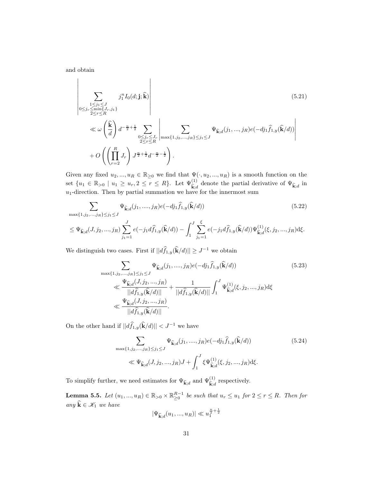and obtain

$$
\left|\sum_{\substack{1 \leq j_1 \leq J \\ 0 \leq j_r \leq \min\{J_r, j_1\} \\ 2 \leq r \leq R}} j_1^n I_0(d; \mathbf{j}; \hat{\mathbf{k}})\right|
$$
(5.21)  

$$
\ll \omega \left(\frac{\hat{\mathbf{k}}}{d}\right) d^{-\frac{n}{2} + \frac{1}{2}} \sum_{\substack{0 \leq j_r \leq J_r \\ 2 \leq r \leq R}} \left|\sum_{\substack{\max\{1, j_2, \dots, j_R\} \leq j_1 \leq J}} \Psi_{\hat{\mathbf{k}}; d}(j_1, \dots, j_R) e(-dj_1 \hat{f}_{1,y}(\hat{\mathbf{k}}/d))\right|
$$

$$
+ O\left(\left(\prod_{r=2}^R J_r\right) J^{\frac{n}{2} + \frac{1}{2}} d^{-\frac{n}{2} - \frac{1}{2}}\right).
$$

Given any fixed  $u_2, ..., u_R \in \mathbb{R}_{\geq 0}$  we find that  $\Psi(., u_2, ..., u_R)$  is a smooth function on the set  $\{u_1 \in \mathbb{R}_{>0} \mid u_1 \geq u_r, 2 \leq r \leq R\}$ . Let  $\Psi_{\widehat{\mathbf{k}};d}^{(1)}$  denote the partial derivative of  $\Psi_{\widehat{\mathbf{k}};d}$  in  $u_1$ -direction. Then by partial summation we have for the innermost sum

$$
\sum_{\max\{1,j_2,\ldots,j_R\}\leq j_1\leq J} \Psi_{\widehat{\mathbf{k}},d}(j_1,\ldots,j_R)e(-dj_1\widehat{f}_{1,y}(\widehat{\mathbf{k}}/d))
$$
(5.22)  

$$
\leq \Psi_{\widehat{\mathbf{k}},d}(J,j_2,\ldots,j_R)\sum_{j_1=1}^J e(-j_1d\widehat{f}_{1,y}(\widehat{\mathbf{k}}/d)) - \int_1^J \sum_{j_1=1}^{\xi} e(-j_1d\widehat{f}_{1,y}(\widehat{\mathbf{k}}/d))\Psi_{\widehat{\mathbf{k}},d}^{(1)}(\xi,j_2,\ldots,j_R)d\xi.
$$

We distinguish two cases. First if  $||df_{1,y}(\hat{\mathbf{k}}/d)|| \geq J^{-1}$  we obtain

$$
\sum_{\max\{1,j_2,\dots,j_R\}\leq j_1\leq J} \Psi_{\hat{\mathbf{k}};d}(j_1,\dots,j_R)e(-dj_1\hat{f}_{1,y}(\hat{\mathbf{k}}/d))
$$
(5.23)  

$$
\ll \frac{\Psi_{\hat{\mathbf{k}};d}(J,j_2,\dots,j_R)}{||d\hat{f}_{1,y}(\hat{\mathbf{k}}/d)||} + \frac{1}{||d\hat{f}_{1,y}(\hat{\mathbf{k}}/d)||} \int_1^J \Psi_{\hat{\mathbf{k}};d}^{(1)}(\xi,j_2,\dots,j_R)d\xi
$$
  

$$
\ll \frac{\Psi_{\hat{\mathbf{k}};d}(J,j_2,\dots,j_R)}{||d\hat{f}_{1,y}(\hat{\mathbf{k}}/d)||}.
$$

On the other hand if  $||d\widehat{f}_{1,y}(\widehat{\mathbf{k}}/d)|| < J^{-1}$  we have

$$
\sum_{\max\{1,j_2,\dots,j_R\}\leq j_1\leq J} \Psi_{\hat{\mathbf{k}};d}(j_1,\dots,j_R)e(-dj_1\hat{f}_{1,y}(\hat{\mathbf{k}}/d))
$$
(5.24)  
\$\ll \Psi\_{\hat{\mathbf{k}};d}(J,j\_2,\dots,j\_R)J + \int\_1^J \xi \Psi\_{\hat{\mathbf{k}};d}^{(1)}(\xi,j\_2,\dots,j\_R)d\xi.

To simplify further, we need estimates for  $\Psi_{\hat{\mathbf{k}};d}$  and  $\Psi_{\hat{\mathbf{k}};d}^{(1)}$  respectively.

**Lemma 5.5.** Let  $(u_1, ..., u_R) \in \mathbb{R}_{>0} \times \mathbb{R}_{\geq 0}^{R-1}$  be such that  $u_r \leq u_1$  for  $2 \leq r \leq R$ . Then for any  $\widehat{\mathbf{k}} \in \mathcal{K}_1$  we have

$$
|\Psi_{\hat{\mathbf{k}};d}(u_1,...,u_R)| \ll u_1^{\frac{n}{2} + \frac{1}{2}}
$$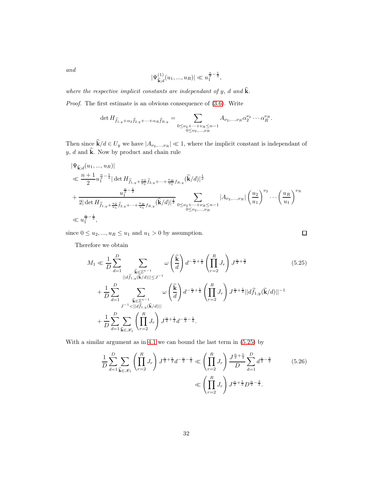and

$$
|\Psi^{(1)}_{\widehat{\mathbf{k}};d}(u_1,...,u_R)| \ll u_1^{\frac{n}{2}-\frac{1}{2}},
$$

where the respective implicit constants are independant of y, d and  $\hat{k}$ .

Proof. The first estimate is an obvious consequence of [\(3.6\)](#page-8-1). Write

$$
\det H_{\hat{f}_{1,y}+\alpha_2\hat{f}_{2,y}+\cdots+\alpha_R\hat{f}_{R,y}} = \sum_{\substack{0 \le \nu_2 + \cdots + \nu_R \le n-1 \\ 0 \le \nu_2, \dots, \nu_R}} A_{\nu_2,\dots,\nu_R} \alpha_2^{\nu_2} \cdots \alpha_R^{\nu_R}.
$$

Then since  $\mathbf{k}/d \in U_y$  we have  $|A_{\nu_2,...,\nu_R}| \ll 1$ , where the implicit constant is independant of  $y, d$  and **k**. Now by product and chain rule

$$
\begin{split}\n&|\Psi_{\hat{\mathbf{k}};d}(u_1,...,u_R)| \\
&\ll \frac{n+1}{2}u_1^{\frac{n}{2}-\frac{1}{2}}|\det H_{\hat{f}_{1,y}+\frac{u_2}{u_1}\hat{f}_{2,y}+\cdots+\frac{u_R}{u_1}f_{R,y}}(\hat{\mathbf{k}}/d)|^{\frac{1}{2}} \\
&+\frac{u_1^{\frac{n}{2}-\frac{1}{2}}}{2|\det H_{\hat{f}_{1,y}+\frac{u_2}{u_1}\hat{f}_{2,y}+\cdots+\frac{u_R}{u_1}f_{R,y}}(\hat{\mathbf{k}}/d)|^{\frac{1}{2}}}\sum_{0\leq \nu_2+\cdots+\nu_R\leq n-1}|A_{\nu_2,...,\nu_R}|\left(\frac{u_2}{u_1}\right)^{\nu_2}\cdots\left(\frac{u_R}{u_1}\right)^{\nu_R} \\
&\ll u_1^{\frac{n}{2}-\frac{1}{2}},\n\end{split}
$$

since  $0 \le u_2, ..., u_R \le u_1$  and  $u_1 > 0$  by assumption.

<span id="page-31-1"></span><span id="page-31-0"></span>
$$
\Box
$$

Therefore we obtain

$$
M_{1} \ll \frac{1}{D} \sum_{d=1}^{D} \sum_{\substack{\hat{\mathbf{k}} \in \mathbb{Z}^{n-1} \\ ||d\hat{f}_{1,y}(\hat{\mathbf{k}}/d)|| \le J^{-1}}} \omega\left(\frac{\hat{\mathbf{k}}}{d}\right) d^{-\frac{n}{2} + \frac{1}{2}} \left(\prod_{r=2}^{R} J_{r}\right) J^{\frac{n}{2} + \frac{3}{2}} \tag{5.25}
$$
  
+ 
$$
\frac{1}{D} \sum_{d=1}^{D} \sum_{\substack{\hat{\mathbf{k}} \in \mathbb{Z}^{n-1} \\ J^{-1} < ||d\hat{f}_{1,y}(\hat{\mathbf{k}}/d)||}} \omega\left(\frac{\hat{\mathbf{k}}}{d}\right) d^{-\frac{n}{2} + \frac{1}{2}} \left(\prod_{r=2}^{R} J_{r}\right) J^{\frac{n}{2} + \frac{1}{2}} ||d\hat{f}_{1,y}(\hat{\mathbf{k}}/d)||^{-1} \tag{5.26}
$$

$$
+ \frac{1}{D} \sum_{d=1}^{D} \sum_{\hat{\mathbf{k}} \in \mathcal{K}_{1}} \left(\prod_{r=2}^{R} J_{r}\right) J^{\frac{n}{2} + \frac{1}{2}} d^{-\frac{n}{2} - \frac{1}{2}}.
$$

With a similar argument as in [4.1](#page-10-1) we can bound the last term in [\(5.25\)](#page-31-0) by

$$
\frac{1}{D} \sum_{d=1}^{D} \sum_{\hat{\mathbf{k}} \in \mathcal{K}_{1}} \left( \prod_{r=2}^{R} J_{r} \right) J^{\frac{n}{2} + \frac{1}{2}} d^{-\frac{n}{2} - \frac{1}{2}} \ll \left( \prod_{r=2}^{R} J_{r} \right) \frac{J^{\frac{n}{2} + \frac{1}{2}}}{D} \sum_{d=1}^{D} d^{\frac{n}{2} - \frac{3}{2}} \tag{5.26}
$$
\n
$$
\ll \left( \prod_{r=2}^{R} J_{r} \right) J^{\frac{n}{2} + \frac{1}{2}} D^{\frac{n}{2} - \frac{3}{2}}.
$$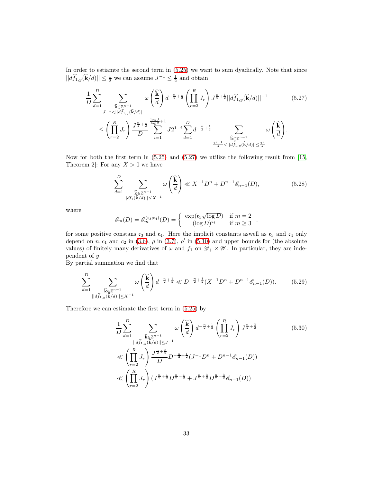In order to estiamte the second term in [\(5.25\)](#page-31-0) we want to sum dyadically. Note that since  $||d\widehat{f}_{1,y}(\widehat{\mathbf{k}}/d)|| \leq \frac{1}{2}$  we can assume  $J^{-1} \leq \frac{1}{2}$  and obtain

$$
\frac{1}{D} \sum_{d=1}^{D} \sum_{\substack{\hat{\mathbf{k}} \in \mathbb{Z}^{n-1} \\ J^{-1} < ||d\hat{f}_{1,y}(\hat{\mathbf{k}}/d)||}} \omega \left(\frac{\hat{\mathbf{k}}}{d}\right) d^{-\frac{n}{2} + \frac{1}{2}} \left(\prod_{r=2}^{R} J_r\right) J^{\frac{n}{2} + \frac{1}{2}} ||d\hat{f}_{1,y}(\hat{\mathbf{k}}/d)||^{-1} \tag{5.27}
$$
\n
$$
\leq \left(\prod_{r=2}^{R} J_r\right) \frac{J^{\frac{n}{2} + \frac{1}{2}}}{D} \sum_{i=1}^{\frac{\log J}{\log 2} + 1} J 2^{1-i} \sum_{d=1}^{D} d^{-\frac{n}{2} + \frac{1}{2}} \sum_{\substack{\hat{\mathbf{k}} \in \mathbb{Z}^{n-1} \\ J < ||d\hat{f}_{1,y}(\hat{\mathbf{k}}/d)|| \leq \frac{2^i}{J}}} \omega \left(\frac{\hat{\mathbf{k}}}{d}\right).
$$

Now for both the first term in [\(5.25\)](#page-31-0) and [\(5.27\)](#page-32-0) we utilize the following result from [\[15,](#page-36-2) Theorem 2]: For any  $X > 0$  we have

$$
\sum_{d=1}^{D} \sum_{\substack{\widehat{\mathbf{k}} \in \mathbb{Z}^{n-1} \\ ||df_1(\widehat{\mathbf{k}}/d)|| \le X^{-1}}} \omega\left(\frac{\widehat{\mathbf{k}}}{d}\right) \ll X^{-1}D^n + D^{n-1}\mathcal{E}_{n-1}(D),\tag{5.28}
$$

<span id="page-32-1"></span><span id="page-32-0"></span>.

where

$$
\mathscr{E}_m(D) = \mathscr{E}_m^{(\mathfrak{c}_3; \mathfrak{c}_4)}(D) = \left\{ \begin{array}{cl} \exp(\mathfrak{c}_3 \sqrt{\log D}) & \text{if} \ m = 2 \\ (\log D)^{\mathfrak{c}_4} & \text{if} \ m \geq 3 \end{array} \right.
$$

for some positive constans  $c_3$  and  $c_4$ . Here the implicit constants aswell as  $c_3$  and  $c_4$  only depend on n,  $c_1$  and  $c_2$  in [\(3.6\)](#page-8-1),  $\rho$  in [\(3.7\)](#page-8-0),  $\rho'$  in [\(5.10\)](#page-24-0) and upper bounds for (the absolute values) of finitely many derivatives of  $\omega$  and  $f_1$  on  $\mathscr{D}_+ \times \mathscr{Y}$ . In particular, they are independent of y.

By partial summation we find that

$$
\sum_{d=1}^{D} \sum_{\substack{\hat{\mathbf{k}} \in \mathbb{Z}^{n-1} \\ ||d\hat{f}_{1,y}(\hat{\mathbf{k}}/d)|| \le X^{-1}}} \omega\left(\frac{\hat{\mathbf{k}}}{d}\right) d^{-\frac{n}{2} + \frac{1}{2}} \ll D^{-\frac{n}{2} + \frac{1}{2}} (X^{-1}D^n + D^{n-1}\mathcal{E}_{n-1}(D)).\tag{5.29}
$$

Therefore we can estimate the first term in [\(5.25\)](#page-31-0) by

$$
\frac{1}{D} \sum_{d=1}^{D} \sum_{\substack{\hat{\mathbf{k}} \in \mathbb{Z}^{n-1} \\ ||d\hat{f}_{1,y}(\hat{\mathbf{k}}/d)|| \le J^{-1}}} \omega\left(\frac{\hat{\mathbf{k}}}{d}\right) d^{-\frac{n}{2} + \frac{1}{2}} \left(\prod_{r=2}^{R} J_r\right) J^{\frac{n}{2} + \frac{3}{2}} \tag{5.30}
$$
\n
$$
\ll \left(\prod_{r=2}^{R} J_r\right) \frac{J^{\frac{n}{2} + \frac{3}{2}}}{D} D^{-\frac{n}{2} + \frac{1}{2}} (J^{-1}D^n + D^{n-1} \mathcal{E}_{n-1}(D))
$$
\n
$$
\ll \left(\prod_{r=2}^{R} J_r\right) (J^{\frac{n}{2} + \frac{1}{2}} D^{\frac{n}{2} - \frac{1}{2}} + J^{\frac{n}{2} + \frac{3}{2}} D^{\frac{n}{2} - \frac{3}{2}} \mathcal{E}_{n-1}(D))
$$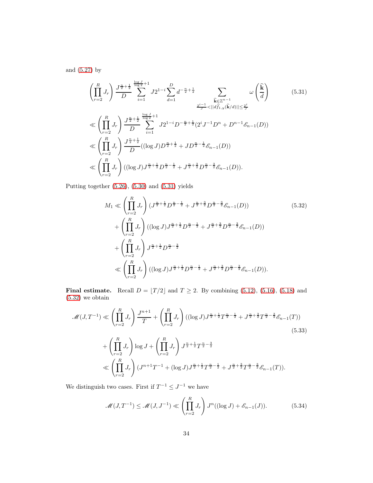and [\(5.27\)](#page-32-0) by

<span id="page-33-0"></span>
$$
\left(\prod_{r=2}^{R} J_r\right) \frac{J^{\frac{n}{2}+\frac{1}{2}} \sum_{i=1}^{\frac{\log J}{\log 2}+1} J 2^{1-i} \sum_{d=1}^{D} d^{-\frac{n}{2}+\frac{1}{2}} \sum_{\substack{\hat{\mathbf{k}} \in \mathbb{Z}^{n-1} \\ \text{with } |\hat{d}_{1,y}(\hat{\mathbf{k}}/d)| \leq \frac{2^i}{J}}} \omega\left(\frac{\hat{\mathbf{k}}}{d}\right)
$$
\n
$$
\ll \left(\prod_{r=2}^{R} J_r\right) \frac{J^{\frac{n}{2}+\frac{1}{2}} \sum_{i=1}^{\frac{\log J}{\log 2}+1} J 2^{1-i} D^{-\frac{n}{2}+\frac{1}{2}} (2^i J^{-1} D^n + D^{n-1} \mathcal{E}_{n-1}(D))}{\omega} \right)
$$
\n
$$
\ll \left(\prod_{r=2}^{R} J_r\right) \frac{J^{\frac{n}{2}+\frac{1}{2}}}{D} \left((\log J) D^{\frac{n}{2}+\frac{1}{2}} + J D^{\frac{n}{2}-\frac{1}{2}} \mathcal{E}_{n-1}(D)\right)
$$
\n
$$
\ll \left(\prod_{r=2}^{R} J_r\right) \left((\log J) J^{\frac{n}{2}+\frac{1}{2}} D^{\frac{n}{2}-\frac{1}{2}} + J^{\frac{n}{2}+\frac{3}{2}} D^{\frac{n}{2}-\frac{3}{2}} \mathcal{E}_{n-1}(D)\right).
$$
\n(10g)

Putting together [\(5.26\)](#page-31-1), [\(5.30\)](#page-32-1) and [\(5.31\)](#page-33-0) yields

<span id="page-33-1"></span>
$$
M_1 \ll \left(\prod_{r=2}^R J_r\right) \left(J^{\frac{n}{2} + \frac{1}{2}} D^{\frac{n}{2} - \frac{1}{2}} + J^{\frac{n}{2} + \frac{3}{2}} D^{\frac{n}{2} - \frac{3}{2}} \mathscr{E}_{n-1}(D)\right) \tag{5.32}
$$
  
+ 
$$
\left(\prod_{r=2}^R J_r\right) \left((\log J) J^{\frac{n}{2} + \frac{1}{2}} D^{\frac{n}{2} - \frac{1}{2}} + J^{\frac{n}{2} + \frac{3}{2}} D^{\frac{n}{2} - \frac{3}{2}} \mathscr{E}_{n-1}(D)\right)
$$
  
+ 
$$
\left(\prod_{r=2}^R J_r\right) J^{\frac{n}{2} + \frac{1}{2}} D^{\frac{n}{2} - \frac{3}{2}}
$$
  

$$
\ll \left(\prod_{r=2}^R J_r\right) \left((\log J) J^{\frac{n}{2} + \frac{1}{2}} D^{\frac{n}{2} - \frac{1}{2}} + J^{\frac{n}{2} + \frac{3}{2}} D^{\frac{n}{2} - \frac{3}{2}} \mathscr{E}_{n-1}(D)\right).
$$

Final estimate. Recall  $D = \lfloor T/2 \rfloor$  and  $T \ge 2$ . By combining [\(5.12\)](#page-25-2), [\(5.16\)](#page-27-0), [\(5.18\)](#page-29-1) and [\(5.32\)](#page-33-1) we obtain

$$
\mathcal{M}(J,T^{-1}) \ll \left(\prod_{r=2}^{R} J_r\right) \frac{J^{n+1}}{T} + \left(\prod_{r=2}^{R} J_r\right) \left((\log J)J^{\frac{n}{2}+\frac{1}{2}}T^{\frac{n}{2}-\frac{1}{2}} + J^{\frac{n}{2}+\frac{3}{2}}T^{\frac{n}{2}-\frac{3}{2}}\mathscr{E}_{n-1}(T)) + \left(\prod_{r=2}^{R} J_r\right) \log J + \left(\prod_{r=2}^{R} J_r\right) J^{\frac{n}{2}+\frac{1}{2}}T^{\frac{n}{2}-\frac{3}{2}} + \mathscr{F}_{n-1}(T) + \left(\prod_{r=2}^{R} J_r\right) (J^{n+1}T^{-1} + (\log J)J^{\frac{n}{2}+\frac{1}{2}}T^{\frac{n}{2}-\frac{1}{2}} + J^{\frac{n}{2}+\frac{3}{2}}T^{\frac{n}{2}-\frac{3}{2}}\mathscr{E}_{n-1}(T)).
$$
\n
$$
\ll \left(\prod_{r=2}^{R} J_r\right) (J^{n+1}T^{-1} + (\log J)J^{\frac{n}{2}+\frac{1}{2}}T^{\frac{n}{2}-\frac{1}{2}} + J^{\frac{n}{2}+\frac{3}{2}}T^{\frac{n}{2}-\frac{3}{2}}\mathscr{E}_{n-1}(T)).
$$

We distinguish two cases. First if  $T^{-1} \leq J^{-1}$  we have

$$
\mathcal{M}(J, T^{-1}) \le \mathcal{M}(J, J^{-1}) \ll \left(\prod_{r=2}^{R} J_r\right) J^n((\log J) + \mathcal{E}_{n-1}(J)).\tag{5.34}
$$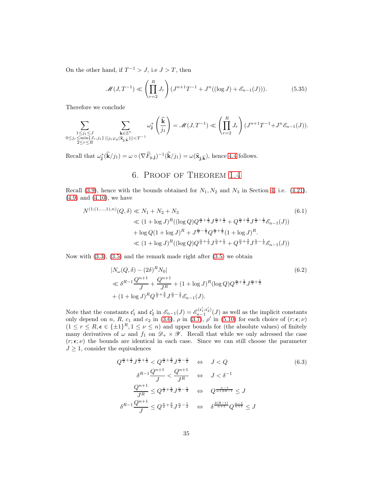On the other hand, if  $T^{-1} > J$ , i.e  $J > T$ , then

$$
\mathcal{M}(J, T^{-1}) \ll \left(\prod_{r=2}^{R} J_r\right) (J^{n+1}T^{-1} + J^n((\log J) + \mathcal{E}_{n-1}(J))). \tag{5.35}
$$

Therefore we conclude

$$
\sum_{\substack{1 \leq j_1 \leq J \\ 0 \leq j_r \leq \min\{J_r, j_1\} \; | |j_1 \varphi_y(\widehat{\mathbf{x}}_{\mathbf{j},\widehat{\mathbf{k}}})| | < T^{-1}}} \omega_{\mathbf{j}}^* \left( \frac{\widehat{\mathbf{k}}}{j_1} \right) = \mathscr{M}(J, T^{-1}) \ll \left( \prod_{r=2}^R J_r \right) (J^{n+1} T^{-1} + J^n \mathscr{E}_{n-1}(J)).
$$

<span id="page-34-0"></span>Recall that  $\omega_j^*(\hat{\mathbf{k}}/j_1) = \omega \circ (\nabla \widehat{F}_{y,j})^{-1}(\hat{\mathbf{k}}/j_1) = \omega(\widehat{\mathbf{x}}_{j,\widehat{\mathbf{k}}})$ , hence [4.4](#page-20-0) follows.

#### 6. Proof of Theorem [1.4](#page-2-0)

Recall [\(3.9\)](#page-10-2), hence with the bounds obtained for  $N_1, N_2$  and  $N_3$  in Section [4,](#page-10-0) i.e. [\(4.21\)](#page-22-3),  $(4.9)$  and  $(4.10)$ , we have

$$
N^{(1;(1,\ldots,1),n)}(Q,\delta) \ll N_1 + N_2 + N_3
$$
\n
$$
\ll (1 + \log J)^R((\log Q)Q^{\frac{n}{2} + \frac{1}{2}} J^{\frac{n}{2} + \frac{1}{2}} + Q^{\frac{n}{2} + \frac{3}{2}} J^{\frac{n}{2} - \frac{1}{2}} \mathcal{E}_{n-1}(J))
$$
\n
$$
+ \log Q(1 + \log J)^R + J^{\frac{n}{2} - \frac{1}{2}} Q^{\frac{n}{2} + \frac{1}{2}} (1 + \log J)^R.
$$
\n
$$
\ll (1 + \log J)^R((\log Q)Q^{\frac{n}{2} + \frac{1}{2}} J^{\frac{n}{2} + \frac{1}{2}} + Q^{\frac{n}{2} + \frac{3}{2}} J^{\frac{n}{2} - \frac{1}{2}} \mathcal{E}_{n-1}(J))
$$
\n(6.1)

Now with [\(3.3\)](#page-7-0), [\(3.5\)](#page-7-1) and the remark made right after [\(3.5\)](#page-7-1) we obtain

$$
|N_{\omega}(Q,\delta) - (2\delta)^{R} N_0|
$$
  
\n
$$
\ll \delta^{R-1} \frac{Q^{n+1}}{J} + \frac{Q^{n+1}}{J^R} + (1 + \log J)^{R} (\log Q) Q^{\frac{n}{2} + \frac{1}{2}} J^{\frac{n}{2} + \frac{1}{2}}
$$
  
\n
$$
+ (1 + \log J)^{R} Q^{\frac{n}{2} + \frac{3}{2}} J^{\frac{n}{2} - \frac{1}{2}} \mathcal{E}_{n-1}(J).
$$
\n(6.2)

Note that the constants  $\mathfrak{c}'_1$  and  $\mathfrak{c}'_2$  in  $\mathscr{E}_{n-1}(J) = \mathscr{E}_{n-1}^{(\mathfrak{c}'_1;\mathfrak{c}'_2)}$  $\lim_{n-1}^{(0,1,1,2)}(J)$  as well as the implicit constants only depend on n, R,  $c_1$  and  $c_2$  in [\(3.6\)](#page-8-1),  $\rho$  in [\(3.7\)](#page-8-0),  $\rho'$  in [\(5.10\)](#page-24-0) for each choice of  $(r, \epsilon, \nu)$  $(1 \leq r \leq R, \epsilon \in {\pm 1}^R, 1 \leq \nu \leq n)$  and upper bounds for (the absolute values) of finitely many derivatives of  $\omega$  and  $f_1$  on  $\mathscr{D}_+ \times \mathscr{Y}$ . Recall that while we only adressed the case  $(r; \epsilon; \nu)$  the bounds are identical in each case. Since we can still choose the parameter  $J \geq 1$ , consider the equivalences

<span id="page-34-1"></span>
$$
Q^{\frac{n}{2} + \frac{1}{2}} J^{\frac{n}{2} + \frac{1}{2}} < Q^{\frac{n}{2} + \frac{3}{2}} J^{\frac{n}{2} - \frac{1}{2}} \Leftrightarrow J < Q
$$
(6.3)  

$$
\delta^{R-1} \frac{Q^{n+1}}{J} < \frac{Q^{n+1}}{J^R} \Leftrightarrow J < \delta^{-1}
$$

$$
\frac{Q^{n+1}}{J^R} \le Q^{\frac{n}{2} + \frac{3}{2}} J^{\frac{n}{2} - \frac{1}{2}} \Leftrightarrow Q^{\frac{n-1}{n+2R-1}} \le J
$$

$$
\delta^{R-1} \frac{Q^{n+1}}{J} \le Q^{\frac{n}{2} + \frac{3}{2}} J^{\frac{n}{2} - \frac{1}{2}} \Leftrightarrow \delta^{\frac{2(R-1)}{n+1}} Q^{\frac{n-1}{n+1}} \le J
$$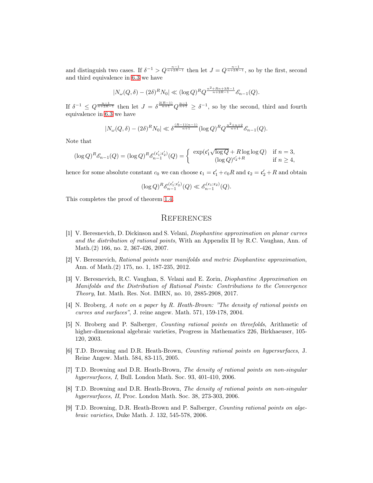and distinguish two cases. If  $\delta^{-1} > Q^{\frac{n-1}{n+2R-1}}$  then let  $J = Q^{\frac{n-1}{n+2R-1}}$ , so by the first, second and third equivalence in [6.3](#page-34-1) we have

$$
|N_{\omega}(Q,\delta) - (2\delta)^R N_0| \ll (\log Q)^R Q^{\frac{n^2 + Rn + 3R - 1}{n + 2R - 1}} \mathcal{E}_{n-1}(Q).
$$

If  $\delta^{-1} \leq Q^{\frac{n-1}{n+2R-1}}$  then let  $J = \delta^{\frac{2(R-1)}{n+1}} Q^{\frac{n-1}{n+1}} \geq \delta^{-1}$ , so by the second, third and fourth equivalence in [6.3](#page-34-1) we have

$$
|N_{\omega}(Q,\delta) - (2\delta)^{R} N_0| \ll \delta^{\frac{(R-1)(n-1)}{n+1}} (\log Q)^{R} Q^{\frac{n^2+n+2}{n+1}} \mathcal{E}_{n-1}(Q).
$$

Note that

$$
(\log Q)^R \mathscr{E}_{n-1}(Q) = (\log Q)^R \mathscr{E}_{n-1}^{(\mathfrak{c}'_1; \mathfrak{c}'_2)}(Q) = \left\{ \begin{array}{cl} \exp(\mathfrak{c}'_1 \sqrt{\log Q} + R \log \log Q) & \text{if } n = 3, \\ (\log Q)^{\mathfrak{c}'_2 + R} & \text{if } n \ge 4, \end{array} \right.
$$

hence for some absolute constant  $c_0$  we can choose  $\mathfrak{c}_1 = \mathfrak{c}'_1 + c_0 R$  and  $\mathfrak{c}_2 = \mathfrak{c}'_2 + R$  and obtain

$$
(\log Q)^R {\mathscr E}^{({\mathfrak c}_1';{\mathfrak c}_2')}_{n-1}(Q) \ll {\mathscr E}^{({\mathfrak c}_1;{\mathfrak c}_2)}_{n-1}(Q).
$$

This completes the proof of theorem [1.4.](#page-2-0)

#### **REFERENCES**

- <span id="page-35-0"></span>[1] V. Beresnevich, D. Dickinson and S. Velani, Diophantine approximation on planar curves and the distribution of rational points, With an Appendix II by R.C. Vaughan, Ann. of Math.(2) 166, no. 2, 367-426, 2007.
- <span id="page-35-1"></span>[2] V. Beresnevich, Rational points near manifolds and metric Diophantine approximation, Ann. of Math.(2) 175, no. 1, 187-235, 2012.
- [3] V. Beresnevich, R.C. Vaughan, S. Velani and E. Zorin, Diophantine Approximation on Manifolds and the Distribution of Rational Points: Contributions to the Convergence Theory, Int. Math. Res. Not. IMRN, no. 10, 2885-2908, 2017.
- <span id="page-35-2"></span>[4] N. Broberg, A note on a paper by R. Heath-Brown: "The density of rational points on curves and surfaces", J. reine angew. Math. 571, 159-178, 2004.
- <span id="page-35-3"></span>[5] N. Broberg and P. Salberger, Counting rational points on threefolds, Arithmetic of higher-dimensional algebraic varieties, Progress in Mathematics 226, Birkhaeuser, 105- 120, 2003.
- <span id="page-35-4"></span>[6] T.D. Browning and D.R. Heath-Brown, Counting rational points on hypersurfaces, J. Reine Angew. Math. 584, 83-115, 2005.
- <span id="page-35-5"></span>[7] T.D. Browning and D.R. Heath-Brown, The density of rational points on non-singular hypersurfaces, I, Bull. London Math. Soc. 93, 401-410, 2006.
- <span id="page-35-6"></span>[8] T.D. Browning and D.R. Heath-Brown, The density of rational points on non-singular hypersurfaces, II, Proc. London Math. Soc. 38, 273-303, 2006.
- <span id="page-35-7"></span>[9] T.D. Browning, D.R. Heath-Brown and P. Salberger, Counting rational points on algebraic varieties, Duke Math. J. 132, 545-578, 2006.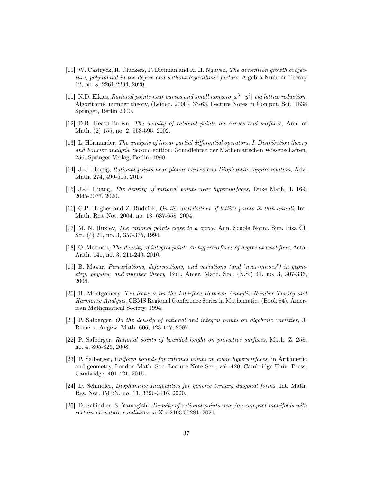- <span id="page-36-8"></span>[10] W. Castryck, R. Cluckers, P. Dittman and K. H. Nguyen, The dimension growth conjecture, polynomial in the degree and without logarithmic factors, Algebra Number Theory 12, no. 8, 2261-2294, 2020.
- <span id="page-36-1"></span>[11] N.D. Elkies, Rational points near curves and small nonzero  $|x^3-y^2|$  via lattice reduction, Algorithmic number theory, (Leiden, 2000), 33-63, Lecture Notes in Comput. Sci., 1838 Springer, Berlin 2000.
- <span id="page-36-9"></span>[12] D.R. Heath-Brown, The density of rational points on curves and surfaces, Ann. of Math. (2) 155, no. 2, 553-595, 2002.
- <span id="page-36-14"></span>[13] L. Hörmander, The analysis of linear partial differential operators. I. Distribution theory and Fourier analysis, Second edition. Grundlehren der Mathematischen Wissenschaften, 256. Springer-Verlag, Berlin, 1990.
- <span id="page-36-7"></span><span id="page-36-2"></span>[14] J.-J. Huang, Rational points near planar curves and Diophantine approximation, Adv. Math. 274, 490-515. 2015.
- <span id="page-36-3"></span>[15] J.-J. Huang, The density of rational points near hypersurfaces, Duke Math. J. 169, 2045-2077. 2020.
- [16] C.P. Hughes and Z. Rudnick, On the distribution of lattice points in thin annuli, Int. Math. Res. Not. 2004, no. 13, 637-658, 2004.
- <span id="page-36-6"></span>[17] M. N. Huxley, The rational points close to a curve, Ann. Scuola Norm. Sup. Pisa Cl. Sci. (4) 21, no. 3, 357-375, 1994.
- <span id="page-36-10"></span><span id="page-36-4"></span>[18] O. Marmon, The density of integral points on hypersurfaces of degree at least four, Acta. Arith. 141, no. 3, 211-240, 2010.
- [19] B. Mazur, Perturbations, deformations, and variations (and "near-misses") in geometry, physics, and number theory, Bull. Amer. Math. Soc. (N.S.) 41, no. 3, 307-336, 2004.
- <span id="page-36-15"></span>[20] H. Montgomery, Ten lectures on the Interface Between Analytic Number Theory and Harmonic Analysis, CBMS Regional Conference Series in Mathematics (Book 84), American Mathematical Society, 1994.
- <span id="page-36-11"></span>[21] P. Salberger, On the density of rational and integral points on algebraic varieties, J. Reine u. Angew. Math. 606, 123-147, 2007.
- <span id="page-36-12"></span>[22] P. Salberger, Rational points of bounded height on prejective surfaces, Math. Z. 258, no. 4, 805-826, 2008.
- <span id="page-36-13"></span>[23] P. Salberger, Uniform bounds for rational points on cubic hypersurfaces, in Arithmetic and geometry, London Math. Soc. Lecture Note Ser., vol. 420, Cambridge Univ. Press, Cambridge, 401-421, 2015.
- <span id="page-36-5"></span>[24] D. Schindler, Diophantine Inequalities for generic ternary diagonal forms, Int. Math. Res. Not. IMRN, no. 11, 3396-3416, 2020.
- <span id="page-36-0"></span>[25] D. Schindler, S. Yamagishi, Density of rational points near/on compact manifolds with certain curvature conditions, arXiv:2103.05281, 2021.